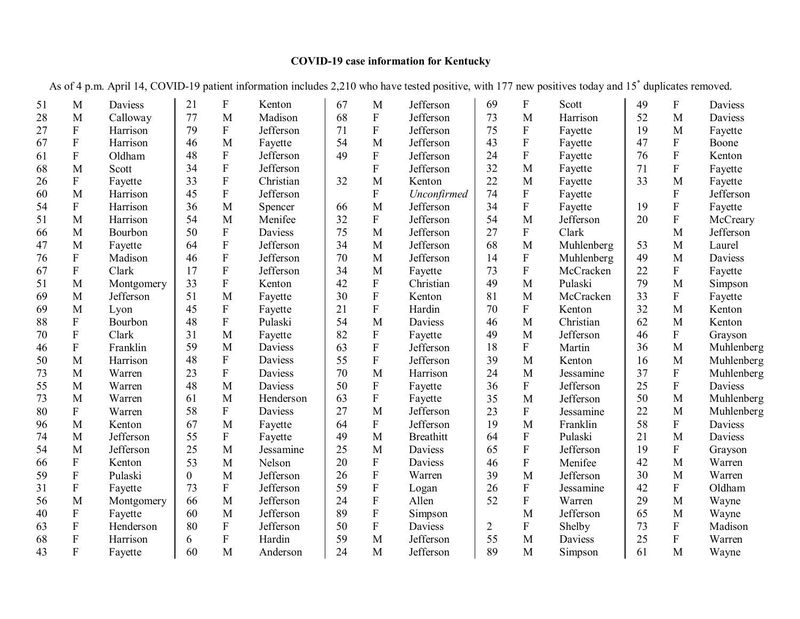## **COVID-19 case information for Kentucky**

| 51 | M                         | Daviess    | 21             | F                         | Kenton    | 67 | M         | Jefferson        | 69 | F                         | Scott      | 49 | F                         | Daviess        |
|----|---------------------------|------------|----------------|---------------------------|-----------|----|-----------|------------------|----|---------------------------|------------|----|---------------------------|----------------|
| 28 | M                         | Calloway   | 77             | M                         | Madison   | 68 | ${\bf F}$ | Jefferson        | 73 | M                         | Harrison   | 52 | M                         | Daviess        |
| 27 | ${\bf F}$                 | Harrison   | 79             | $\mathbf{F}$              | Jefferson | 71 | F         | Jefferson        | 75 | $\boldsymbol{\mathrm{F}}$ | Fayette    | 19 | M                         | Fayette        |
| 67 | ${\bf F}$                 | Harrison   | 46             | M                         | Fayette   | 54 | M         | Jefferson        | 43 | ${\bf F}$                 | Fayette    | 47 | ${\bf F}$                 | Boone          |
| 61 | $\mathbf F$               | Oldham     | 48             | ${\bf F}$                 | Jefferson | 49 | ${\bf F}$ | Jefferson        | 24 | ${\bf F}$                 | Fayette    | 76 | ${\bf F}$                 | Kenton         |
| 68 | M                         | Scott      | 34             | ${\bf F}$                 | Jefferson |    | ${\bf F}$ | Jefferson        | 32 | M                         | Fayette    | 71 | ${\bf F}$                 | Fayette        |
| 26 | ${\bf F}$                 | Fayette    | 33             | $\boldsymbol{\mathrm{F}}$ | Christian | 32 | M         | Kenton           | 22 | M                         | Fayette    | 33 | M                         | Fayette        |
| 60 | M                         | Harrison   | 45             | $\mathbf F$               | Jefferson |    | ${\bf F}$ | Unconfirmed      | 74 | ${\bf F}$                 | Fayette    |    | $\mathbf F$               | Jefferson      |
| 54 | ${\bf F}$                 | Harrison   | 36             | M                         | Spencer   | 66 | M         | Jefferson        | 34 | ${\bf F}$                 | Fayette    | 19 | ${\bf F}$                 | Fayette        |
| 51 | M                         | Harrison   | 54             | M                         | Menifee   | 32 | ${\bf F}$ | Jefferson        | 54 | M                         | Jefferson  | 20 | ${\bf F}$                 | McCreary       |
| 66 | M                         | Bourbon    | 50             | ${\bf F}$                 | Daviess   | 75 | M         | Jefferson        | 27 | $\boldsymbol{\mathrm{F}}$ | Clark      |    | M                         | Jefferson      |
| 47 | M                         | Fayette    | 64             | $\boldsymbol{\mathrm{F}}$ | Jefferson | 34 | M         | Jefferson        | 68 | M                         | Muhlenberg | 53 | M                         | Laurel         |
| 76 | $\mathbf F$               | Madison    | 46             | $\overline{F}$            | Jefferson | 70 | M         | Jefferson        | 14 | $\mathbf F$               | Muhlenberg | 49 | $\mathbf{M}$              | <b>Daviess</b> |
| 67 | F                         | Clark      | 17             | F                         | Jefferson | 34 | M         | Fayette          | 73 | ${\bf F}$                 | McCracken  | 22 | ${\bf F}$                 | Fayette        |
| 51 | M                         | Montgomery | 33             | $\overline{F}$            | Kenton    | 42 | ${\bf F}$ | Christian        | 49 | M                         | Pulaski    | 79 | M                         | Simpson        |
| 69 | M                         | Jefferson  | 51             | M                         | Fayette   | 30 | ${\bf F}$ | Kenton           | 81 | M                         | McCracken  | 33 | ${\bf F}$                 | Fayette        |
| 69 | $\mathbf{M}$              | Lyon       | 45             | ${\bf F}$                 | Fayette   | 21 | ${\bf F}$ | Hardin           | 70 | ${\bf F}$                 | Kenton     | 32 | M                         | Kenton         |
| 88 | ${\bf F}$                 | Bourbon    | 48             | F                         | Pulaski   | 54 | M         | Daviess          | 46 | M                         | Christian  | 62 | M                         | Kenton         |
| 70 | $\mathbf F$               | Clark      | 31             | M                         | Fayette   | 82 | ${\bf F}$ | Fayette          | 49 | M                         | Jefferson  | 46 | ${\bf F}$                 | Grayson        |
| 46 | $\overline{F}$            | Franklin   | 59             | M                         | Daviess   | 63 | ${\bf F}$ | Jefferson        | 18 | ${\bf F}$                 | Martin     | 36 | $\mathbf{M}$              | Muhlenberg     |
| 50 | M                         | Harrison   | 48             | $\mathbf F$               | Daviess   | 55 | ${\bf F}$ | Jefferson        | 39 | M                         | Kenton     | 16 | M                         | Muhlenberg     |
| 73 | M                         | Warren     | 23             | ${\bf F}$                 | Daviess   | 70 | M         | Harrison         | 24 | M                         | Jessamine  | 37 | ${\bf F}$                 | Muhlenberg     |
| 55 | M                         | Warren     | 48             | M                         | Daviess   | 50 | ${\bf F}$ | Fayette          | 36 | $\mathbf F$               | Jefferson  | 25 | $\boldsymbol{\mathrm{F}}$ | Daviess        |
| 73 | M                         | Warren     | 61             | M                         | Henderson | 63 | ${\bf F}$ | Fayette          | 35 | M                         | Jefferson  | 50 | M                         | Muhlenberg     |
| 80 | ${\bf F}$                 | Warren     | 58             | ${\bf F}$                 | Daviess   | 27 | M         | Jefferson        | 23 | ${\bf F}$                 | Jessamine  | 22 | M                         | Muhlenberg     |
| 96 | M                         | Kenton     | 67             | M                         | Fayette   | 64 | ${\bf F}$ | Jefferson        | 19 | M                         | Franklin   | 58 | ${\bf F}$                 | Daviess        |
| 74 | $\overline{M}$            | Jefferson  | 55             | ${\bf F}$                 | Fayette   | 49 | M         | <b>Breathitt</b> | 64 | ${\bf F}$                 | Pulaski    | 21 | M                         | Daviess        |
| 54 | $\mathbf{M}$              | Jefferson  | 25             | M                         | Jessamine | 25 | M         | Daviess          | 65 | $\rm F$                   | Jefferson  | 19 | $\mathbf{F}$              | Grayson        |
| 66 | ${\bf F}$                 | Kenton     | 53             | M                         | Nelson    | 20 | ${\bf F}$ | Daviess          | 46 | $\boldsymbol{\mathrm{F}}$ | Menifee    | 42 | M                         | Warren         |
| 59 | $\overline{F}$            | Pulaski    | $\overline{0}$ | M                         | Jefferson | 26 | ${\bf F}$ | Warren           | 39 | M                         | Jefferson  | 30 | M                         | Warren         |
| 31 | ${\bf F}$                 | Fayette    | 73             | $\mathbf{F}$              | Jefferson | 59 | ${\bf F}$ | Logan            | 26 | $\boldsymbol{\mathrm{F}}$ | Jessamine  | 42 | $\mathbf{F}$              | Oldham         |
| 56 | M                         | Montgomery | 66             | M                         | Jefferson | 24 | ${\bf F}$ | Allen            | 52 | ${\bf F}$                 | Warren     | 29 | M                         | Wayne          |
| 40 | ${\bf F}$                 | Fayette    | 60             | M                         | Jefferson | 89 | ${\bf F}$ | Simpson          |    | M                         | Jefferson  | 65 | M                         | Wayne          |
| 63 | ${\bf F}$                 | Henderson  | 80             | ${\bf F}$                 | Jefferson | 50 | ${\bf F}$ | Daviess          | 2  | ${\bf F}$                 | Shelby     | 73 | ${\bf F}$                 | Madison        |
| 68 | $\boldsymbol{\mathrm{F}}$ | Harrison   | 6              | $\mathbf F$               | Hardin    | 59 | M         | Jefferson        | 55 | M                         | Daviess    | 25 | $\mathbf F$               | Warren         |
| 43 | F                         | Fayette    | 60             | M                         | Anderson  | 24 | M         | Jefferson        | 89 | M                         | Simpson    | 61 | M                         | Wayne          |

As of 4 p.m. April 14, COVID-19 patient information includes 2,210 who have tested positive, with 177 new positives today and 15\* duplicates removed.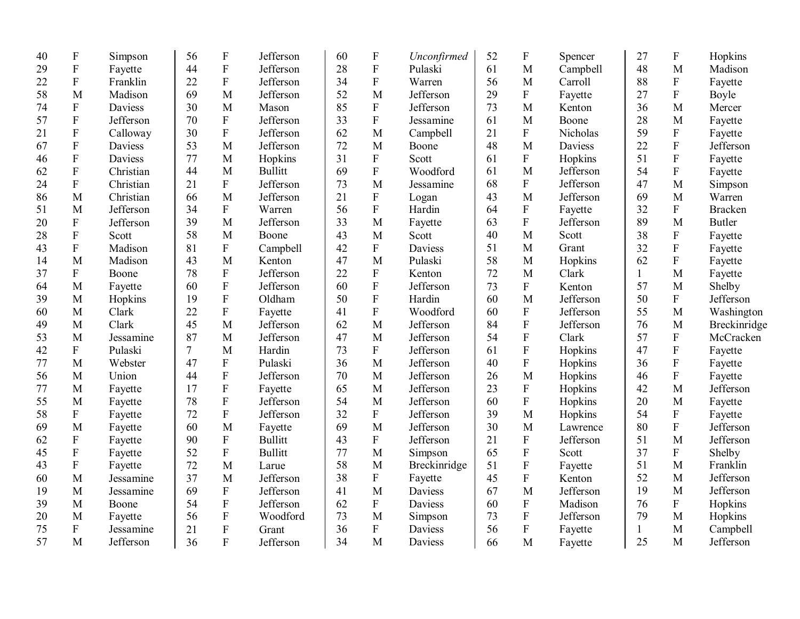| 40 | $\boldsymbol{\mathrm{F}}$ | Simpson        | 56             | ${\bf F}$                 | Jefferson      | 60 | $\boldsymbol{F}$ | Unconfirmed    | 52 | $\boldsymbol{\mathrm{F}}$ | Spencer   | 27           | ${\bf F}$                 | Hopkins        |
|----|---------------------------|----------------|----------------|---------------------------|----------------|----|------------------|----------------|----|---------------------------|-----------|--------------|---------------------------|----------------|
| 29 | ${\bf F}$                 | Fayette        | 44             | $\boldsymbol{\mathrm{F}}$ | Jefferson      | 28 | ${\bf F}$        | Pulaski        | 61 | M                         | Campbell  | 48           | M                         | Madison        |
| 22 | ${\bf F}$                 | Franklin       | 22             | ${\bf F}$                 | Jefferson      | 34 | $\mathbf F$      | Warren         | 56 | M                         | Carroll   | 88           | ${\bf F}$                 | Fayette        |
| 58 | M                         | Madison        | 69             | M                         | Jefferson      | 52 | M                | Jefferson      | 29 | ${\bf F}$                 | Fayette   | 27           | ${\bf F}$                 | Boyle          |
| 74 | ${\bf F}$                 | <b>Daviess</b> | 30             | M                         | Mason          | 85 | $\mathbf F$      | Jefferson      | 73 | M                         | Kenton    | 36           | M                         | Mercer         |
| 57 | ${\bf F}$                 | Jefferson      | 70             | $\mathbf F$               | Jefferson      | 33 | ${\bf F}$        | Jessamine      | 61 | M                         | Boone     | 28           | M                         | Fayette        |
| 21 | ${\bf F}$                 | Calloway       | 30             | $\mathbf F$               | Jefferson      | 62 | M                | Campbell       | 21 | $\mathbf{F}$              | Nicholas  | 59           | ${\bf F}$                 | Fayette        |
| 67 | ${\bf F}$                 | Daviess        | 53             | M                         | Jefferson      | 72 | M                | Boone          | 48 | M                         | Daviess   | 22           | $\rm F$                   | Jefferson      |
| 46 | ${\bf F}$                 | <b>Daviess</b> | 77             | M                         | Hopkins        | 31 | $\mathbf F$      | Scott          | 61 | ${\bf F}$                 | Hopkins   | 51           | $\rm F$                   | Fayette        |
| 62 | ${\bf F}$                 | Christian      | 44             | M                         | <b>Bullitt</b> | 69 | ${\bf F}$        | Woodford       | 61 | M                         | Jefferson | 54           | $\boldsymbol{\mathrm{F}}$ | Fayette        |
| 24 | ${\bf F}$                 | Christian      | 21             | ${\bf F}$                 | Jefferson      | 73 | M                | Jessamine      | 68 | ${\bf F}$                 | Jefferson | 47           | M                         | Simpson        |
| 86 | M                         | Christian      | 66             | M                         | Jefferson      | 21 | ${\bf F}$        | Logan          | 43 | M                         | Jefferson | 69           | M                         | Warren         |
| 51 | M                         | Jefferson      | 34             | $\mathbf F$               | Warren         | 56 | ${\bf F}$        | Hardin         | 64 | ${\bf F}$                 | Fayette   | 32           | ${\bf F}$                 | <b>Bracken</b> |
| 20 | ${\bf F}$                 | Jefferson      | 39             | M                         | Jefferson      | 33 | M                | Fayette        | 63 | $\rm F$                   | Jefferson | 89           | M                         | <b>Butler</b>  |
| 28 | ${\bf F}$                 | Scott          | 58             | M                         | Boone          | 43 | M                | Scott          | 40 | M                         | Scott     | 38           | ${\bf F}$                 | Fayette        |
| 43 | ${\bf F}$                 | Madison        | 81             | ${\bf F}$                 | Campbell       | 42 | ${\bf F}$        | <b>Daviess</b> | 51 | M                         | Grant     | 32           | $\overline{F}$            | Fayette        |
| 14 | M                         | Madison        | 43             | M                         | Kenton         | 47 | M                | Pulaski        | 58 | M                         | Hopkins   | 62           | ${\bf F}$                 | Fayette        |
| 37 | ${\bf F}$                 | Boone          | 78             | ${\bf F}$                 | Jefferson      | 22 | ${\bf F}$        | Kenton         | 72 | M                         | Clark     | $\mathbf{1}$ | M                         | Fayette        |
| 64 | M                         | Fayette        | 60             | $\mathbf F$               | Jefferson      | 60 | ${\bf F}$        | Jefferson      | 73 | ${\bf F}$                 | Kenton    | 57           | M                         | Shelby         |
| 39 | M                         | Hopkins        | 19             | $\mathbf F$               | Oldham         | 50 | ${\bf F}$        | Hardin         | 60 | M                         | Jefferson | 50           | ${\bf F}$                 | Jefferson      |
| 60 | M                         | Clark          | 22             | ${\bf F}$                 | Fayette        | 41 | ${\bf F}$        | Woodford       | 60 | ${\bf F}$                 | Jefferson | 55           | $\mathbf M$               | Washington     |
| 49 | M                         | Clark          | 45             | M                         | Jefferson      | 62 | M                | Jefferson      | 84 | $\rm F$                   | Jefferson | 76           | M                         | Breckinridge   |
| 53 | M                         | Jessamine      | 87             | M                         | Jefferson      | 47 | M                | Jefferson      | 54 | $\rm F$                   | Clark     | 57           | $\boldsymbol{\mathrm{F}}$ | McCracken      |
| 42 | ${\bf F}$                 | Pulaski        | $\overline{7}$ | M                         | Hardin         | 73 | ${\bf F}$        | Jefferson      | 61 | ${\bf F}$                 | Hopkins   | 47           | ${\bf F}$                 | Fayette        |
| 77 | M                         | Webster        | 47             | ${\bf F}$                 | Pulaski        | 36 | M                | Jefferson      | 40 | ${\bf F}$                 | Hopkins   | 36           | $\boldsymbol{\mathrm{F}}$ | Fayette        |
| 56 | M                         | Union          | 44             | ${\bf F}$                 | Jefferson      | 70 | M                | Jefferson      | 26 | M                         | Hopkins   | 46           | $\overline{F}$            | Fayette        |
| 77 | M                         | Fayette        | 17             | ${\bf F}$                 | Fayette        | 65 | M                | Jefferson      | 23 | ${\bf F}$                 | Hopkins   | 42           | M                         | Jefferson      |
| 55 | M                         | Fayette        | 78             | $\boldsymbol{\mathrm{F}}$ | Jefferson      | 54 | M                | Jefferson      | 60 | ${\bf F}$                 | Hopkins   | 20           | M                         | Fayette        |
| 58 | $\boldsymbol{F}$          | Fayette        | 72             | $\rm F$                   | Jefferson      | 32 | $\boldsymbol{F}$ | Jefferson      | 39 | $\mathbf{M}$              | Hopkins   | 54           | $\boldsymbol{\mathrm{F}}$ | Fayette        |
| 69 | M                         | Fayette        | 60             | M                         | Fayette        | 69 | M                | Jefferson      | 30 | M                         | Lawrence  | 80           | ${\bf F}$                 | Jefferson      |
| 62 | F                         | Fayette        | 90             | $\rm F$                   | <b>Bullitt</b> | 43 | $\boldsymbol{F}$ | Jefferson      | 21 | ${\bf F}$                 | Jefferson | 51           | M                         | Jefferson      |
| 45 | ${\bf F}$                 | Fayette        | 52             | $\rm F$                   | <b>Bullitt</b> | 77 | M                | Simpson        | 65 | ${\bf F}$                 | Scott     | 37           | ${\bf F}$                 | Shelby         |
| 43 | $\mathbf F$               | Fayette        | 72             | M                         | Larue          | 58 | M                | Breckinridge   | 51 | $\rm F$                   | Fayette   | 51           | $\mathbf{M}$              | Franklin       |
| 60 | M                         | Jessamine      | 37             | M                         | Jefferson      | 38 | ${\bf F}$        | Fayette        | 45 | $\rm F$                   | Kenton    | 52           | M                         | Jefferson      |
| 19 | M                         | Jessamine      | 69             | ${\bf F}$                 | Jefferson      | 41 | M                | Daviess        | 67 | M                         | Jefferson | 19           | M                         | Jefferson      |
| 39 | M                         | Boone          | 54             | ${\bf F}$                 | Jefferson      | 62 | ${\bf F}$        | Daviess        | 60 | ${\bf F}$                 | Madison   | 76           | $\mathbf F$               | Hopkins        |
| 20 | M                         | Fayette        | 56             | ${\bf F}$                 | Woodford       | 73 | M                | Simpson        | 73 | ${\bf F}$                 | Jefferson | 79           | M                         | Hopkins        |
| 75 | ${\bf F}$                 | Jessamine      | 21             | ${\bf F}$                 | Grant          | 36 | $\mathbf F$      | Daviess        | 56 | ${\bf F}$                 | Fayette   | $\mathbf{1}$ | M                         | Campbell       |
| 57 | M                         | Jefferson      | 36             | $\overline{F}$            | Jefferson      | 34 | M                | Daviess        | 66 | M                         | Fayette   | 25           | M                         | Jefferson      |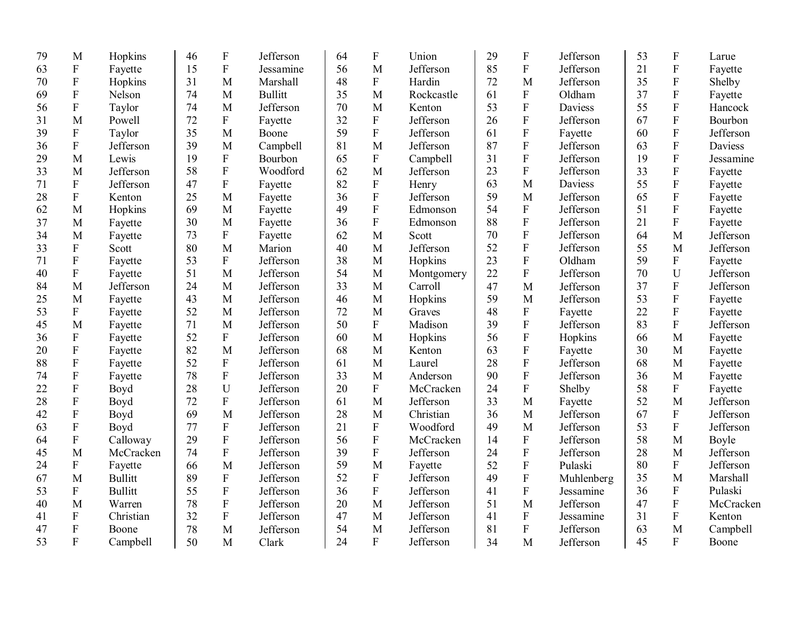| 79 | M                         | Hopkins        | 46 | $\boldsymbol{\mathrm{F}}$ | Jefferson      | 64 | $\mathbf{F}$     | Union      | 29 | F                         | Jefferson      | 53 | $\mathbf F$               | Larue     |
|----|---------------------------|----------------|----|---------------------------|----------------|----|------------------|------------|----|---------------------------|----------------|----|---------------------------|-----------|
| 63 | ${\bf F}$                 | Fayette        | 15 | $\boldsymbol{\mathrm{F}}$ | Jessamine      | 56 | M                | Jefferson  | 85 | ${\bf F}$                 | Jefferson      | 21 | $\mathbf F$               | Fayette   |
| 70 | $\mathbf F$               | Hopkins        | 31 | M                         | Marshall       | 48 | $\mathbf{F}$     | Hardin     | 72 | M                         | Jefferson      | 35 | F                         | Shelby    |
| 69 | $\overline{F}$            | Nelson         | 74 | M                         | <b>Bullitt</b> | 35 | M                | Rockcastle | 61 | ${\bf F}$                 | Oldham         | 37 | $\overline{F}$            | Fayette   |
| 56 | ${\bf F}$                 | Taylor         | 74 | M                         | Jefferson      | 70 | M                | Kenton     | 53 | F                         | <b>Daviess</b> | 55 | ${\bf F}$                 | Hancock   |
| 31 | M                         | Powell         | 72 | $\mathbf{F}$              | Fayette        | 32 | F                | Jefferson  | 26 | F                         | Jefferson      | 67 | $\overline{F}$            | Bourbon   |
| 39 | F                         | Taylor         | 35 | M                         | Boone          | 59 | $\overline{F}$   | Jefferson  | 61 | ${\bf F}$                 | Fayette        | 60 | ${\bf F}$                 | Jefferson |
| 36 | $\overline{F}$            | Jefferson      | 39 | M                         | Campbell       | 81 | M                | Jefferson  | 87 | ${\bf F}$                 | Jefferson      | 63 | ${\bf F}$                 | Daviess   |
| 29 | M                         | Lewis          | 19 | ${\bf F}$                 | Bourbon        | 65 | $\boldsymbol{F}$ | Campbell   | 31 | $\mathbf F$               | Jefferson      | 19 | $\overline{F}$            | Jessamine |
| 33 | M                         | Jefferson      | 58 | $\rm F$                   | Woodford       | 62 | M                | Jefferson  | 23 | ${\bf F}$                 | Jefferson      | 33 | $\boldsymbol{\mathrm{F}}$ | Fayette   |
| 71 | ${\bf F}$                 | Jefferson      | 47 | ${\bf F}$                 | Fayette        | 82 | ${\bf F}$        | Henry      | 63 | M                         | Daviess        | 55 | ${\bf F}$                 | Fayette   |
| 28 | ${\bf F}$                 | Kenton         | 25 | M                         | Fayette        | 36 | ${\bf F}$        | Jefferson  | 59 | M                         | Jefferson      | 65 | $\overline{F}$            | Fayette   |
| 62 | M                         | Hopkins        | 69 | M                         | Fayette        | 49 | ${\bf F}$        | Edmonson   | 54 | ${\bf F}$                 | Jefferson      | 51 | $\boldsymbol{\mathrm{F}}$ | Fayette   |
| 37 | M                         | Fayette        | 30 | M                         | Fayette        | 36 | ${\bf F}$        | Edmonson   | 88 | ${\bf F}$                 | Jefferson      | 21 | ${\bf F}$                 | Fayette   |
| 34 | M                         | Fayette        | 73 | $\rm F$                   | Fayette        | 62 | M                | Scott      | 70 | ${\bf F}$                 | Jefferson      | 64 | M                         | Jefferson |
| 33 | ${\bf F}$                 | Scott          | 80 | M                         | Marion         | 40 | M                | Jefferson  | 52 | ${\bf F}$                 | Jefferson      | 55 | M                         | Jefferson |
| 71 | ${\bf F}$                 | Fayette        | 53 | ${\bf F}$                 | Jefferson      | 38 | M                | Hopkins    | 23 | ${\bf F}$                 | Oldham         | 59 | ${\bf F}$                 | Fayette   |
| 40 | $\overline{F}$            | Fayette        | 51 | M                         | Jefferson      | 54 | M                | Montgomery | 22 | $\mathbf F$               | Jefferson      | 70 | U                         | Jefferson |
| 84 | M                         | Jefferson      | 24 | M                         | Jefferson      | 33 | M                | Carroll    | 47 | M                         | Jefferson      | 37 | $\overline{F}$            | Jefferson |
| 25 | M                         | Fayette        | 43 | M                         | Jefferson      | 46 | M                | Hopkins    | 59 | M                         | Jefferson      | 53 | $\overline{F}$            | Fayette   |
| 53 | ${\bf F}$                 | Fayette        | 52 | M                         | Jefferson      | 72 | M                | Graves     | 48 | ${\bf F}$                 | Fayette        | 22 | $\overline{F}$            | Fayette   |
| 45 | M                         | Fayette        | 71 | M                         | Jefferson      | 50 | ${\bf F}$        | Madison    | 39 | ${\bf F}$                 | Jefferson      | 83 | $\boldsymbol{\mathrm{F}}$ | Jefferson |
| 36 | ${\bf F}$                 | Fayette        | 52 | $\boldsymbol{\mathrm{F}}$ | Jefferson      | 60 | M                | Hopkins    | 56 | ${\bf F}$                 | Hopkins        | 66 | M                         | Fayette   |
| 20 | ${\bf F}$                 | Fayette        | 82 | M                         | Jefferson      | 68 | M                | Kenton     | 63 | $\boldsymbol{\mathrm{F}}$ | Fayette        | 30 | M                         | Fayette   |
| 88 | ${\bf F}$                 | Fayette        | 52 | $\boldsymbol{\mathrm{F}}$ | Jefferson      | 61 | M                | Laurel     | 28 | ${\bf F}$                 | Jefferson      | 68 | M                         | Fayette   |
| 74 | ${\bf F}$                 | Fayette        | 78 | ${\bf F}$                 | Jefferson      | 33 | M                | Anderson   | 90 | $\boldsymbol{\mathrm{F}}$ | Jefferson      | 36 | M                         | Fayette   |
| 22 | $\boldsymbol{\mathrm{F}}$ | Boyd           | 28 | $\mathbf U$               | Jefferson      | 20 | ${\bf F}$        | McCracken  | 24 | ${\bf F}$                 | Shelby         | 58 | ${\bf F}$                 | Fayette   |
| 28 | $\boldsymbol{\mathrm{F}}$ | Boyd           | 72 | ${\bf F}$                 | Jefferson      | 61 | M                | Jefferson  | 33 | M                         | Fayette        | 52 | M                         | Jefferson |
| 42 | ${\bf F}$                 | Boyd           | 69 | M                         | Jefferson      | 28 | M                | Christian  | 36 | M                         | Jefferson      | 67 | $\mathbf F$               | Jefferson |
| 63 | $\boldsymbol{\mathrm{F}}$ | Boyd           | 77 | $\mathbf F$               | Jefferson      | 21 | $\mathbf{F}$     | Woodford   | 49 | M                         | Jefferson      | 53 | ${\bf F}$                 | Jefferson |
| 64 | $\mathbf F$               | Calloway       | 29 | ${\bf F}$                 | Jefferson      | 56 | F                | McCracken  | 14 | ${\bf F}$                 | Jefferson      | 58 | M                         | Boyle     |
| 45 | M                         | McCracken      | 74 | $\mathbf{F}$              | Jefferson      | 39 | ${\bf F}$        | Jefferson  | 24 | $\overline{F}$            | Jefferson      | 28 | M                         | Jefferson |
| 24 | $\boldsymbol{\mathrm{F}}$ | Fayette        | 66 | M                         | Jefferson      | 59 | M                | Fayette    | 52 | $\overline{F}$            | Pulaski        | 80 | ${\bf F}$                 | Jefferson |
| 67 | M                         | <b>Bullitt</b> | 89 | $\overline{F}$            | Jefferson      | 52 | ${\bf F}$        | Jefferson  | 49 | $\overline{F}$            | Muhlenberg     | 35 | M                         | Marshall  |
| 53 | $\mathbf F$               | <b>Bullitt</b> | 55 | $\boldsymbol{\mathrm{F}}$ | Jefferson      | 36 | ${\bf F}$        | Jefferson  | 41 | ${\bf F}$                 | Jessamine      | 36 | $\mathbf F$               | Pulaski   |
| 40 | M                         | Warren         | 78 | ${\bf F}$                 | Jefferson      | 20 | M                | Jefferson  | 51 | M                         | Jefferson      | 47 | ${\bf F}$                 | McCracken |
| 41 | F                         | Christian      | 32 | $\boldsymbol{\mathrm{F}}$ | Jefferson      | 47 | M                | Jefferson  | 41 | $\rm F$                   | Jessamine      | 31 | ${\bf F}$                 | Kenton    |
| 47 | ${\bf F}$                 | Boone          | 78 | M                         | Jefferson      | 54 | M                | Jefferson  | 81 | $\rm F$                   | Jefferson      | 63 | M                         | Campbell  |
| 53 | $\boldsymbol{\mathrm{F}}$ | Campbell       | 50 | M                         | Clark          | 24 | $\mathbf{F}$     | Jefferson  | 34 | M                         | Jefferson      | 45 | ${\bf F}$                 | Boone     |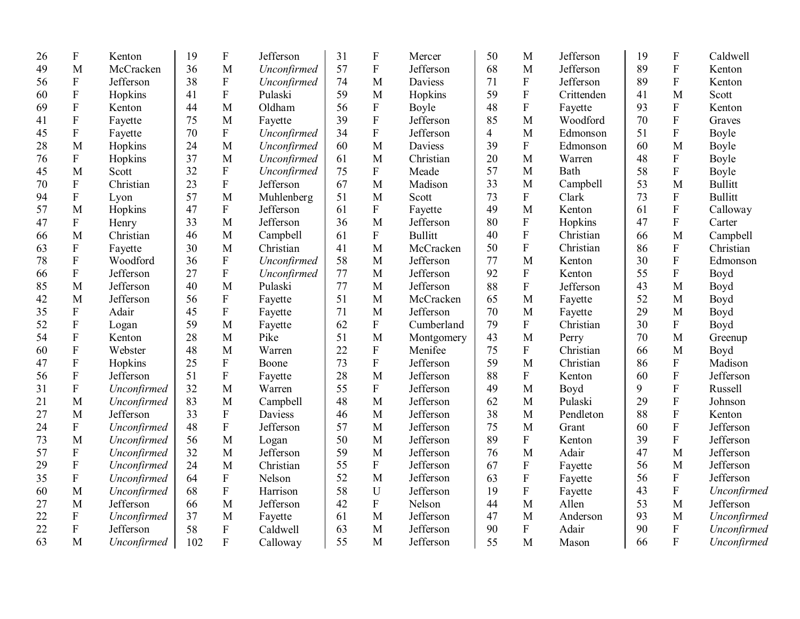| 26 | ${\bf F}$                 | Kenton      | 19  | $\mathbf F$               | Jefferson   | 31 | ${\bf F}$                 | Mercer         | 50 | M                         | Jefferson  | 19 | ${\bf F}$                 | Caldwell       |
|----|---------------------------|-------------|-----|---------------------------|-------------|----|---------------------------|----------------|----|---------------------------|------------|----|---------------------------|----------------|
| 49 | M                         | McCracken   | 36  | M                         | Unconfirmed | 57 | ${\bf F}$                 | Jefferson      | 68 | M                         | Jefferson  | 89 | $\overline{F}$            | Kenton         |
| 56 | ${\bf F}$                 | Jefferson   | 38  | $\mathbf F$               | Unconfirmed | 74 | $\mathbf{M}$              | Daviess        | 71 | $\rm F$                   | Jefferson  | 89 | ${\bf F}$                 | Kenton         |
| 60 | $\mathbf F$               | Hopkins     | 41  | $\boldsymbol{\mathrm{F}}$ | Pulaski     | 59 | M                         | Hopkins        | 59 | $\boldsymbol{\mathrm{F}}$ | Crittenden | 41 | M                         | Scott          |
| 69 | ${\bf F}$                 | Kenton      | 44  | M                         | Oldham      | 56 | $\boldsymbol{\mathrm{F}}$ | Boyle          | 48 | ${\bf F}$                 | Fayette    | 93 | ${\bf F}$                 | Kenton         |
| 41 | ${\bf F}$                 | Fayette     | 75  | M                         | Fayette     | 39 | ${\bf F}$                 | Jefferson      | 85 | M                         | Woodford   | 70 | ${\bf F}$                 | Graves         |
| 45 | ${\bf F}$                 | Fayette     | 70  | ${\bf F}$                 | Unconfirmed | 34 | $\boldsymbol{\mathrm{F}}$ | Jefferson      | 4  | M                         | Edmonson   | 51 | ${\bf F}$                 | Boyle          |
| 28 | M                         | Hopkins     | 24  | M                         | Unconfirmed | 60 | M                         | Daviess        | 39 | $\boldsymbol{\mathrm{F}}$ | Edmonson   | 60 | M                         | Boyle          |
| 76 | ${\bf F}$                 | Hopkins     | 37  | M                         | Unconfirmed | 61 | M                         | Christian      | 20 | M                         | Warren     | 48 | ${\bf F}$                 | Boyle          |
| 45 | M                         | Scott       | 32  | ${\bf F}$                 | Unconfirmed | 75 | ${\bf F}$                 | Meade          | 57 | M                         | Bath       | 58 | ${\bf F}$                 | Boyle          |
| 70 | ${\bf F}$                 | Christian   | 23  | ${\bf F}$                 | Jefferson   | 67 | $\mathbf{M}$              | Madison        | 33 | M                         | Campbell   | 53 | M                         | <b>Bullitt</b> |
| 94 | ${\bf F}$                 | Lyon        | 57  | M                         | Muhlenberg  | 51 | $\mathbf M$               | Scott          | 73 | ${\bf F}$                 | Clark      | 73 | ${\bf F}$                 | <b>Bullitt</b> |
| 57 | M                         | Hopkins     | 47  | ${\bf F}$                 | Jefferson   | 61 | F                         | Fayette        | 49 | M                         | Kenton     | 61 | ${\bf F}$                 | Calloway       |
| 47 | $\boldsymbol{\mathrm{F}}$ | Henry       | 33  | M                         | Jefferson   | 36 | M                         | Jefferson      | 80 | ${\bf F}$                 | Hopkins    | 47 | ${\bf F}$                 | Carter         |
| 66 | M                         | Christian   | 46  | M                         | Campbell    | 61 | $\mathbf F$               | <b>Bullitt</b> | 40 | $\rm F$                   | Christian  | 66 | M                         | Campbell       |
| 63 | $\rm F$                   | Fayette     | 30  | M                         | Christian   | 41 | M                         | McCracken      | 50 | $\rm F$                   | Christian  | 86 | ${\bf F}$                 | Christian      |
| 78 | ${\bf F}$                 | Woodford    | 36  | ${\bf F}$                 | Unconfirmed | 58 | M                         | Jefferson      | 77 | M                         | Kenton     | 30 | ${\bf F}$                 | Edmonson       |
| 66 | ${\bf F}$                 | Jefferson   | 27  | ${\bf F}$                 | Unconfirmed | 77 | M                         | Jefferson      | 92 | ${\bf F}$                 | Kenton     | 55 | ${\bf F}$                 | Boyd           |
| 85 | M                         | Jefferson   | 40  | M                         | Pulaski     | 77 | M                         | Jefferson      | 88 | ${\bf F}$                 | Jefferson  | 43 | M                         | Boyd           |
| 42 | M                         | Jefferson   | 56  | $\mathbf F$               | Fayette     | 51 | M                         | McCracken      | 65 | M                         | Fayette    | 52 | M                         | Boyd           |
| 35 | ${\bf F}$                 | Adair       | 45  | $\rm F$                   | Fayette     | 71 | M                         | Jefferson      | 70 | M                         | Fayette    | 29 | M                         | Boyd           |
| 52 | $\boldsymbol{\mathrm{F}}$ | Logan       | 59  | M                         | Fayette     | 62 | $\mathbf F$               | Cumberland     | 79 | $\rm F$                   | Christian  | 30 | ${\bf F}$                 | Boyd           |
| 54 | ${\bf F}$                 | Kenton      | 28  | M                         | Pike        | 51 | M                         | Montgomery     | 43 | M                         | Perry      | 70 | M                         | Greenup        |
| 60 | $\boldsymbol{\mathrm{F}}$ | Webster     | 48  | M                         | Warren      | 22 | ${\bf F}$                 | Menifee        | 75 | $\mathbf F$               | Christian  | 66 | M                         | Boyd           |
| 47 | $\boldsymbol{\mathrm{F}}$ | Hopkins     | 25  | $\mathbf F$               | Boone       | 73 | $\mathbf F$               | Jefferson      | 59 | $\mathbf{M}$              | Christian  | 86 | ${\bf F}$                 | Madison        |
| 56 | ${\bf F}$                 | Jefferson   | 51  | $\rm F$                   | Fayette     | 28 | M                         | Jefferson      | 88 | ${\bf F}$                 | Kenton     | 60 | $\boldsymbol{\mathrm{F}}$ | Jefferson      |
| 31 | ${\bf F}$                 | Unconfirmed | 32  | M                         | Warren      | 55 | $\boldsymbol{\mathrm{F}}$ | Jefferson      | 49 | M                         | Boyd       | 9  | ${\bf F}$                 | Russell        |
| 21 | M                         | Unconfirmed | 83  | M                         | Campbell    | 48 | M                         | Jefferson      | 62 | M                         | Pulaski    | 29 | ${\bf F}$                 | Johnson        |
| 27 | M                         | Jefferson   | 33  | ${\bf F}$                 | Daviess     | 46 | M                         | Jefferson      | 38 | M                         | Pendleton  | 88 | $\boldsymbol{\mathrm{F}}$ | Kenton         |
| 24 | ${\bf F}$                 | Unconfirmed | 48  | $\rm F$                   | Jefferson   | 57 | M                         | Jefferson      | 75 | M                         | Grant      | 60 | $\boldsymbol{\mathrm{F}}$ | Jefferson      |
| 73 | M                         | Unconfirmed | 56  | M                         | Logan       | 50 | M                         | Jefferson      | 89 | $\mathbf F$               | Kenton     | 39 | ${\bf F}$                 | Jefferson      |
| 57 | ${\bf F}$                 | Unconfirmed | 32  | M                         | Jefferson   | 59 | M                         | Jefferson      | 76 | $\mathbf{M}$              | Adair      | 47 | $\mathbf{M}$              | Jefferson      |
| 29 | $\boldsymbol{\mathrm{F}}$ | Unconfirmed | 24  | M                         | Christian   | 55 | ${\bf F}$                 | Jefferson      | 67 | ${\bf F}$                 | Fayette    | 56 | M                         | Jefferson      |
| 35 | $\boldsymbol{\mathrm{F}}$ | Unconfirmed | 64  | ${\bf F}$                 | Nelson      | 52 | M                         | Jefferson      | 63 | ${\bf F}$                 | Fayette    | 56 | $\boldsymbol{\mathrm{F}}$ | Jefferson      |
| 60 | M                         | Unconfirmed | 68  | $\rm F$                   | Harrison    | 58 | U                         | Jefferson      | 19 | ${\bf F}$                 | Fayette    | 43 | ${\bf F}$                 | Unconfirmed    |
| 27 | M                         | Jefferson   | 66  | M                         | Jefferson   | 42 | ${\bf F}$                 | Nelson         | 44 | $\mathbf{M}$              | Allen      | 53 | M                         | Jefferson      |
| 22 | ${\bf F}$                 | Unconfirmed | 37  | M                         | Fayette     | 61 | M                         | Jefferson      | 47 | M                         | Anderson   | 93 | M                         | Unconfirmed    |
| 22 | $\boldsymbol{\mathrm{F}}$ | Jefferson   | 58  | ${\bf F}$                 | Caldwell    | 63 | M                         | Jefferson      | 90 | ${\bf F}$                 | Adair      | 90 | ${\bf F}$                 | Unconfirmed    |
| 63 | M                         | Unconfirmed | 102 | $\mathbf{F}$              | Calloway    | 55 | M                         | Jefferson      | 55 | M                         | Mason      | 66 | $\overline{F}$            | Unconfirmed    |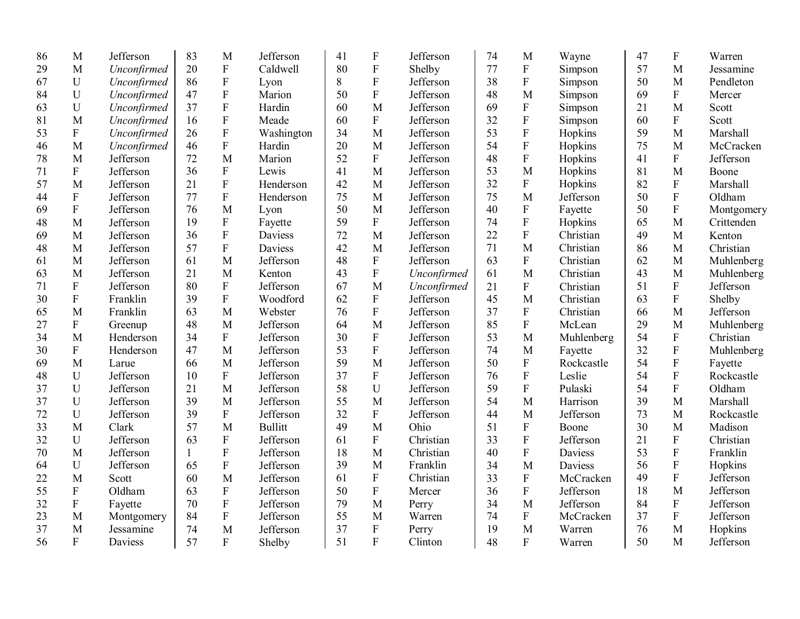| 86 | M                         | Jefferson   | 83 | M                         | Jefferson      | 41 | ${\bf F}$                 | Jefferson   | 74 | M              | Wayne      | 47 | ${\bf F}$                 | Warren     |
|----|---------------------------|-------------|----|---------------------------|----------------|----|---------------------------|-------------|----|----------------|------------|----|---------------------------|------------|
| 29 | M                         | Unconfirmed | 20 | ${\bf F}$                 | Caldwell       | 80 | ${\bf F}$                 | Shelby      | 77 | ${\bf F}$      | Simpson    | 57 | M                         | Jessamine  |
| 67 | $\mathbf U$               | Unconfirmed | 86 | ${\bf F}$                 | Lyon           | 8  | ${\bf F}$                 | Jefferson   | 38 | $\overline{F}$ | Simpson    | 50 | M                         | Pendleton  |
| 84 | $\mathbf U$               | Unconfirmed | 47 | $\boldsymbol{\mathrm{F}}$ | Marion         | 50 | ${\bf F}$                 | Jefferson   | 48 | M              | Simpson    | 69 | $\mathbf{F}$              | Mercer     |
| 63 | U                         | Unconfirmed | 37 | ${\bf F}$                 | Hardin         | 60 | M                         | Jefferson   | 69 | ${\bf F}$      | Simpson    | 21 | M                         | Scott      |
| 81 | M                         | Unconfirmed | 16 | $\boldsymbol{\mathrm{F}}$ | Meade          | 60 | $\mathbf{F}$              | Jefferson   | 32 | $\overline{F}$ | Simpson    | 60 | $\boldsymbol{\mathrm{F}}$ | Scott      |
| 53 | $\boldsymbol{\mathrm{F}}$ | Unconfirmed | 26 | $\boldsymbol{\mathrm{F}}$ | Washington     | 34 | M                         | Jefferson   | 53 | $\overline{F}$ | Hopkins    | 59 | M                         | Marshall   |
| 46 | M                         | Unconfirmed | 46 | ${\bf F}$                 | Hardin         | 20 | M                         | Jefferson   | 54 | $\rm F$        | Hopkins    | 75 | M                         | McCracken  |
| 78 | M                         | Jefferson   | 72 | M                         | Marion         | 52 | $\mathbf F$               | Jefferson   | 48 | $\overline{F}$ | Hopkins    | 41 | ${\bf F}$                 | Jefferson  |
| 71 | ${\bf F}$                 | Jefferson   | 36 | ${\bf F}$                 | Lewis          | 41 | M                         | Jefferson   | 53 | M              | Hopkins    | 81 | M                         | Boone      |
| 57 | M                         | Jefferson   | 21 | ${\bf F}$                 | Henderson      | 42 | M                         | Jefferson   | 32 | ${\bf F}$      | Hopkins    | 82 | ${\bf F}$                 | Marshall   |
| 44 | ${\bf F}$                 | Jefferson   | 77 | ${\bf F}$                 | Henderson      | 75 | M                         | Jefferson   | 75 | M              | Jefferson  | 50 | $\overline{F}$            | Oldham     |
| 69 | ${\bf F}$                 | Jefferson   | 76 | M                         | Lyon           | 50 | M                         | Jefferson   | 40 | ${\bf F}$      | Fayette    | 50 | ${\bf F}$                 | Montgomery |
| 48 | M                         | Jefferson   | 19 | ${\bf F}$                 | Fayette        | 59 | ${\bf F}$                 | Jefferson   | 74 | $\rm F$        | Hopkins    | 65 | M                         | Crittenden |
| 69 | M                         | Jefferson   | 36 | ${\bf F}$                 | Daviess        | 72 | M                         | Jefferson   | 22 | ${\bf F}$      | Christian  | 49 | M                         | Kenton     |
| 48 | M                         | Jefferson   | 57 | ${\bf F}$                 | Daviess        | 42 | M                         | Jefferson   | 71 | M              | Christian  | 86 | M                         | Christian  |
| 61 | M                         | Jefferson   | 61 | M                         | Jefferson      | 48 | $\mathbf F$               | Jefferson   | 63 | ${\bf F}$      | Christian  | 62 | M                         | Muhlenberg |
| 63 | M                         | Jefferson   | 21 | M                         | Kenton         | 43 | ${\bf F}$                 | Unconfirmed | 61 | M              | Christian  | 43 | M                         | Muhlenberg |
| 71 | ${\bf F}$                 | Jefferson   | 80 | ${\bf F}$                 | Jefferson      | 67 | M                         | Unconfirmed | 21 | ${\bf F}$      | Christian  | 51 | $\mathbf{F}$              | Jefferson  |
| 30 | $\overline{F}$            | Franklin    | 39 | $\mathbf F$               | Woodford       | 62 | $\mathbf{F}$              | Jefferson   | 45 | M              | Christian  | 63 | $\mathbf{F}$              | Shelby     |
| 65 | M                         | Franklin    | 63 | M                         | Webster        | 76 | $\overline{F}$            | Jefferson   | 37 | $\overline{F}$ | Christian  | 66 | M                         | Jefferson  |
| 27 | ${\bf F}$                 | Greenup     | 48 | $\mathbf{M}$              | Jefferson      | 64 | M                         | Jefferson   | 85 | ${\bf F}$      | McLean     | 29 | $\mathbf{M}$              | Muhlenberg |
| 34 | M                         | Henderson   | 34 | ${\bf F}$                 | Jefferson      | 30 | ${\bf F}$                 | Jefferson   | 53 | M              | Muhlenberg | 54 | ${\bf F}$                 | Christian  |
| 30 | ${\bf F}$                 | Henderson   | 47 | M                         | Jefferson      | 53 | $\overline{F}$            | Jefferson   | 74 | M              | Fayette    | 32 | $\rm F$                   | Muhlenberg |
| 69 | M                         | Larue       | 66 | M                         | Jefferson      | 59 | M                         | Jefferson   | 50 | ${\bf F}$      | Rockcastle | 54 | ${\bf F}$                 | Fayette    |
| 48 | U                         | Jefferson   | 10 | $\mathbf{F}$              | Jefferson      | 37 | $\mathbf{F}$              | Jefferson   | 76 | ${\bf F}$      | Leslie     | 54 | $\overline{F}$            | Rockcastle |
| 37 | $\mathbf U$               | Jefferson   | 21 | M                         | Jefferson      | 58 | U                         | Jefferson   | 59 | ${\bf F}$      | Pulaski    | 54 | $\mathbf{F}$              | Oldham     |
| 37 | U                         | Jefferson   | 39 | M                         | Jefferson      | 55 | M                         | Jefferson   | 54 | M              | Harrison   | 39 | M                         | Marshall   |
| 72 | $\mathbf U$               | Jefferson   | 39 | $\mathbf F$               | Jefferson      | 32 | ${\bf F}$                 | Jefferson   | 44 | M              | Jefferson  | 73 | M                         | Rockcastle |
| 33 | M                         | Clark       | 57 | M                         | <b>Bullitt</b> | 49 | M                         | Ohio        | 51 | $\overline{F}$ | Boone      | 30 | M                         | Madison    |
| 32 | U                         | Jefferson   | 63 | ${\bf F}$                 | Jefferson      | 61 | $\mathbf{F}$              | Christian   | 33 | ${\bf F}$      | Jefferson  | 21 | $\mathbf{F}$              | Christian  |
| 70 | M                         | Jefferson   | 1  | $\mathbf F$               | Jefferson      | 18 | M                         | Christian   | 40 | $\rm F$        | Daviess    | 53 | $\rm F$                   | Franklin   |
| 64 | U                         | Jefferson   | 65 | ${\bf F}$                 | Jefferson      | 39 | M                         | Franklin    | 34 | M              | Daviess    | 56 | ${\bf F}$                 | Hopkins    |
| 22 | M                         | Scott       | 60 | M                         | Jefferson      | 61 | ${\bf F}$                 | Christian   | 33 | ${\bf F}$      | McCracken  | 49 | $\boldsymbol{\mathrm{F}}$ | Jefferson  |
| 55 | $\boldsymbol{F}$          | Oldham      | 63 | ${\bf F}$                 | Jefferson      | 50 | $\boldsymbol{\mathrm{F}}$ | Mercer      | 36 | ${\bf F}$      | Jefferson  | 18 | M                         | Jefferson  |
| 32 | ${\bf F}$                 | Fayette     | 70 | ${\bf F}$                 | Jefferson      | 79 | M                         | Perry       | 34 | M              | Jefferson  | 84 | ${\bf F}$                 | Jefferson  |
| 23 | M                         | Montgomery  | 84 | $\boldsymbol{\mathrm{F}}$ | Jefferson      | 55 | M                         | Warren      | 74 | ${\bf F}$      | McCracken  | 37 | $\mathbf{F}$              | Jefferson  |
| 37 | M                         | Jessamine   | 74 | M                         | Jefferson      | 37 | $\boldsymbol{\mathrm{F}}$ | Perry       | 19 | M              | Warren     | 76 | M                         | Hopkins    |
| 56 | $\mathbf{F}$              | Daviess     | 57 | $\overline{F}$            | Shelby         | 51 | $\overline{F}$            | Clinton     | 48 | $\overline{F}$ | Warren     | 50 | M                         | Jefferson  |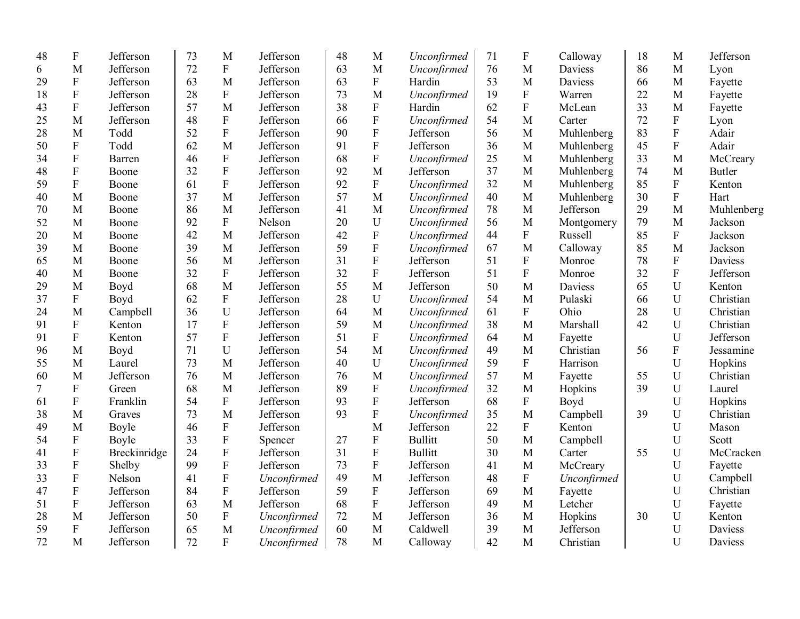| 48     | ${\bf F}$                 | Jefferson    | 73 | M                         | Jefferson   | 48 | M                         | Unconfirmed    | 71 | F              | Calloway       | 18 | M              | Jefferson     |
|--------|---------------------------|--------------|----|---------------------------|-------------|----|---------------------------|----------------|----|----------------|----------------|----|----------------|---------------|
| 6      | M                         | Jefferson    | 72 | ${\bf F}$                 | Jefferson   | 63 | M                         | Unconfirmed    | 76 | M              | Daviess        | 86 | M              | Lyon          |
| 29     | $\mathbf{F}$              | Jefferson    | 63 | M                         | Jefferson   | 63 | $\boldsymbol{\mathrm{F}}$ | Hardin         | 53 | M              | <b>Daviess</b> | 66 | M              | Fayette       |
| 18     | $\boldsymbol{\mathrm{F}}$ | Jefferson    | 28 | ${\bf F}$                 | Jefferson   | 73 | M                         | Unconfirmed    | 19 | ${\bf F}$      | Warren         | 22 | M              | Fayette       |
| 43     | ${\bf F}$                 | Jefferson    | 57 | M                         | Jefferson   | 38 | $\boldsymbol{\mathrm{F}}$ | Hardin         | 62 | ${\bf F}$      | McLean         | 33 | M              | Fayette       |
| 25     | M                         | Jefferson    | 48 | ${\bf F}$                 | Jefferson   | 66 | $\boldsymbol{\mathrm{F}}$ | Unconfirmed    | 54 | M              | Carter         | 72 | ${\bf F}$      | Lyon          |
| 28     | M                         | Todd         | 52 | ${\bf F}$                 | Jefferson   | 90 | $\mathbf F$               | Jefferson      | 56 | M              | Muhlenberg     | 83 | ${\bf F}$      | Adair         |
| 50     | ${\bf F}$                 | Todd         | 62 | M                         | Jefferson   | 91 | $\mathbf F$               | Jefferson      | 36 | M              | Muhlenberg     | 45 | $\overline{F}$ | Adair         |
| 34     | ${\bf F}$                 | Barren       | 46 | $\rm F$                   | Jefferson   | 68 | $\boldsymbol{\mathrm{F}}$ | Unconfirmed    | 25 | M              | Muhlenberg     | 33 | M              | McCreary      |
| 48     | ${\bf F}$                 | Boone        | 32 | ${\bf F}$                 | Jefferson   | 92 | M                         | Jefferson      | 37 | M              | Muhlenberg     | 74 | M              | <b>Butler</b> |
| 59     | ${\bf F}$                 | Boone        | 61 | ${\bf F}$                 | Jefferson   | 92 | F                         | Unconfirmed    | 32 | $\mathbf M$    | Muhlenberg     | 85 | ${\bf F}$      | Kenton        |
| 40     | M                         | Boone        | 37 | M                         | Jefferson   | 57 | M                         | Unconfirmed    | 40 | M              | Muhlenberg     | 30 | ${\bf F}$      | Hart          |
| 70     | M                         | Boone        | 86 | M                         | Jefferson   | 41 | M                         | Unconfirmed    | 78 | M              | Jefferson      | 29 | M              | Muhlenberg    |
| 52     | M                         | Boone        | 92 | $\mathbf F$               | Nelson      | 20 | U                         | Unconfirmed    | 56 | M              | Montgomery     | 79 | M              | Jackson       |
| 20     | M                         | Boone        | 42 | M                         | Jefferson   | 42 | F                         | Unconfirmed    | 44 | ${\bf F}$      | Russell        | 85 | ${\bf F}$      | Jackson       |
| 39     | M                         | Boone        | 39 | M                         | Jefferson   | 59 | ${\bf F}$                 | Unconfirmed    | 67 | M              | Calloway       | 85 | M              | Jackson       |
| 65     | M                         | Boone        | 56 | M                         | Jefferson   | 31 | ${\bf F}$                 | Jefferson      | 51 | ${\bf F}$      | Monroe         | 78 | ${\bf F}$      | Daviess       |
| 40     | M                         | Boone        | 32 | ${\bf F}$                 | Jefferson   | 32 | F                         | Jefferson      | 51 | ${\bf F}$      | Monroe         | 32 | ${\bf F}$      | Jefferson     |
| 29     | M                         | Boyd         | 68 | M                         | Jefferson   | 55 | M                         | Jefferson      | 50 | M              | Daviess        | 65 | U              | Kenton        |
| 37     | F                         | Boyd         | 62 | ${\bf F}$                 | Jefferson   | 28 | U                         | Unconfirmed    | 54 | M              | Pulaski        | 66 | U              | Christian     |
| 24     | M                         | Campbell     | 36 | U                         | Jefferson   | 64 | M                         | Unconfirmed    | 61 | $\rm F$        | Ohio           | 28 | $\mathbf U$    | Christian     |
| 91     | ${\bf F}$                 | Kenton       | 17 | ${\bf F}$                 | Jefferson   | 59 | M                         | Unconfirmed    | 38 | M              | Marshall       | 42 | $\mathbf U$    | Christian     |
| 91     | ${\bf F}$                 | Kenton       | 57 | $\mathbf F$               | Jefferson   | 51 | F                         | Unconfirmed    | 64 | M              | Fayette        |    | $\mathbf U$    | Jefferson     |
| 96     | M                         | Boyd         | 71 | $\mathbf U$               | Jefferson   | 54 | M                         | Unconfirmed    | 49 | M              | Christian      | 56 | ${\bf F}$      | Jessamine     |
| 55     | M                         | Laurel       | 73 | M                         | Jefferson   | 40 | U                         | Unconfirmed    | 59 | ${\bf F}$      | Harrison       |    | $\mathbf U$    | Hopkins       |
| 60     | M                         | Jefferson    | 76 | M                         | Jefferson   | 76 | M                         | Unconfirmed    | 57 | M              | Fayette        | 55 | U              | Christian     |
| $\tau$ | ${\bf F}$                 | Green        | 68 | M                         | Jefferson   | 89 | F                         | Unconfirmed    | 32 | M              | Hopkins        | 39 | $\mathbf U$    | Laurel        |
| 61     | ${\bf F}$                 | Franklin     | 54 | $\boldsymbol{\mathrm{F}}$ | Jefferson   | 93 | F                         | Jefferson      | 68 | $\overline{F}$ | Boyd           |    | $\mathbf U$    | Hopkins       |
| 38     | M                         | Graves       | 73 | M                         | Jefferson   | 93 | F                         | Unconfirmed    | 35 | $\mathbf{M}$   | Campbell       | 39 | $\mathbf U$    | Christian     |
| 49     | M                         | Boyle        | 46 | ${\bf F}$                 | Jefferson   |    | M                         | Jefferson      | 22 | ${\bf F}$      | Kenton         |    | U              | Mason         |
| 54     | $\mathbf F$               | Boyle        | 33 | ${\bf F}$                 | Spencer     | 27 | $\mathbf F$               | <b>Bullitt</b> | 50 | M              | Campbell       |    | U              | Scott         |
| 41     | $\mathbf F$               | Breckinridge | 24 | ${\bf F}$                 | Jefferson   | 31 | ${\bf F}$                 | <b>Bullitt</b> | 30 | M              | Carter         | 55 | U              | McCracken     |
| 33     | ${\bf F}$                 | Shelby       | 99 | $\rm F$                   | Jefferson   | 73 | ${\bf F}$                 | Jefferson      | 41 | M              | McCreary       |    | U              | Fayette       |
| 33     | ${\bf F}$                 | Nelson       | 41 | $\boldsymbol{\mathrm{F}}$ | Unconfirmed | 49 | M                         | Jefferson      | 48 | ${\bf F}$      | Unconfirmed    |    | U              | Campbell      |
| 47     | ${\bf F}$                 | Jefferson    | 84 | ${\bf F}$                 | Jefferson   | 59 | ${\bf F}$                 | Jefferson      | 69 | M              | Fayette        |    | $\mathbf U$    | Christian     |
| 51     | ${\bf F}$                 | Jefferson    | 63 | M                         | Jefferson   | 68 | ${\bf F}$                 | Jefferson      | 49 | M              | Letcher        |    | U              | Fayette       |
| 28     | M                         | Jefferson    | 50 | ${\bf F}$                 | Unconfirmed | 72 | M                         | Jefferson      | 36 | M              | Hopkins        | 30 | U              | Kenton        |
| 59     | $\boldsymbol{F}$          | Jefferson    | 65 | M                         | Unconfirmed | 60 | M                         | Caldwell       | 39 | M              | Jefferson      |    | U              | Daviess       |
| 72     | M                         | Jefferson    | 72 | $\overline{F}$            | Unconfirmed | 78 | M                         | Calloway       | 42 | M              | Christian      |    | U              | Daviess       |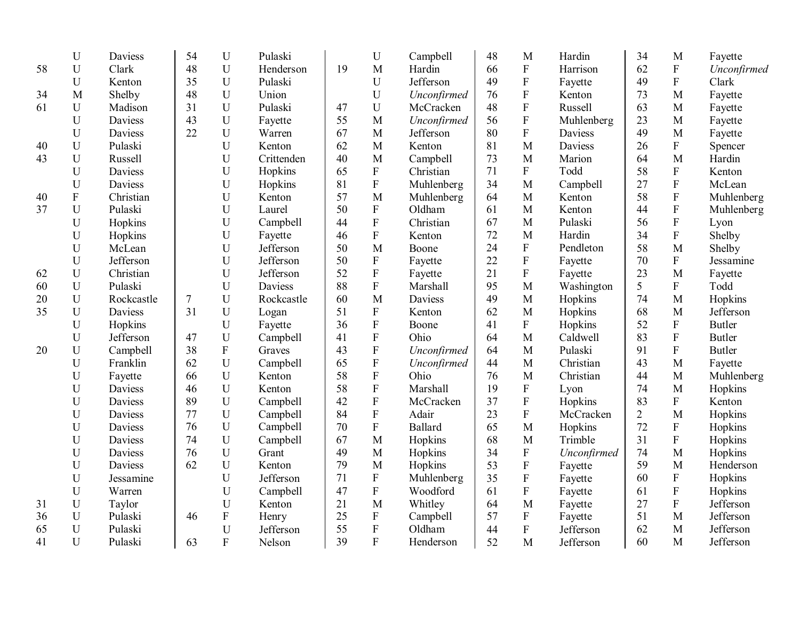|    | $\mathbf U$ | <b>Daviess</b> | 54     | $\mathbf U$    | Pulaski    |    | $\mathbf U$               | Campbell    | 48 | M                         | Hardin      | 34             | M            | Fayette       |
|----|-------------|----------------|--------|----------------|------------|----|---------------------------|-------------|----|---------------------------|-------------|----------------|--------------|---------------|
| 58 | U           | Clark          | 48     | U              | Henderson  | 19 | M                         | Hardin      | 66 | ${\bf F}$                 | Harrison    | 62             | $\mathbf F$  | Unconfirmed   |
|    | $\mathbf U$ | Kenton         | 35     | U              | Pulaski    |    | U                         | Jefferson   | 49 | ${\bf F}$                 | Fayette     | 49             | $\mathbf{F}$ | Clark         |
| 34 | M           | Shelby         | 48     | $\mathbf U$    | Union      |    | $\mathbf U$               | Unconfirmed | 76 | ${\bf F}$                 | Kenton      | 73             | M            | Fayette       |
| 61 | $\mathbf U$ | Madison        | 31     | U              | Pulaski    | 47 | ${\bf U}$                 | McCracken   | 48 | ${\bf F}$                 | Russell     | 63             | M            | Fayette       |
|    | U           | <b>Daviess</b> | 43     | U              | Fayette    | 55 | M                         | Unconfirmed | 56 | $\rm F$                   | Muhlenberg  | 23             | M            | Fayette       |
|    | $\mathbf U$ | Daviess        | 22     | U              | Warren     | 67 | M                         | Jefferson   | 80 | ${\bf F}$                 | Daviess     | 49             | M            | Fayette       |
| 40 | U           | Pulaski        |        | U              | Kenton     | 62 | M                         | Kenton      | 81 | M                         | Daviess     | 26             | ${\bf F}$    | Spencer       |
| 43 | U           | Russell        |        | U              | Crittenden | 40 | M                         | Campbell    | 73 | M                         | Marion      | 64             | M            | Hardin        |
|    | U           | Daviess        |        | $\mathbf U$    | Hopkins    | 65 | ${\bf F}$                 | Christian   | 71 | $\mathbf F$               | Todd        | 58             | $\mathbf F$  | Kenton        |
|    | $\mathbf U$ | Daviess        |        | $\mathbf U$    | Hopkins    | 81 | ${\bf F}$                 | Muhlenberg  | 34 | M                         | Campbell    | 27             | ${\bf F}$    | McLean        |
| 40 | ${\bf F}$   | Christian      |        | $\mathbf U$    | Kenton     | 57 | M                         | Muhlenberg  | 64 | M                         | Kenton      | 58             | ${\bf F}$    | Muhlenberg    |
| 37 | $\mathbf U$ | Pulaski        |        | $\mathbf U$    | Laurel     | 50 | ${\bf F}$                 | Oldham      | 61 | M                         | Kenton      | 44             | ${\bf F}$    | Muhlenberg    |
|    | $\mathbf U$ | Hopkins        |        | U              | Campbell   | 44 | ${\bf F}$                 | Christian   | 67 | M                         | Pulaski     | 56             | ${\bf F}$    | Lyon          |
|    | $\mathbf U$ | Hopkins        |        | U              | Fayette    | 46 | ${\bf F}$                 | Kenton      | 72 | M                         | Hardin      | 34             | ${\bf F}$    | Shelby        |
|    | U           | McLean         |        | U              | Jefferson  | 50 | M                         | Boone       | 24 | $\boldsymbol{\mathrm{F}}$ | Pendleton   | 58             | M            | Shelby        |
|    | $\mathbf U$ | Jefferson      |        | U              | Jefferson  | 50 | ${\bf F}$                 | Fayette     | 22 | ${\bf F}$                 | Fayette     | 70             | ${\bf F}$    | Jessamine     |
| 62 | U           | Christian      |        | U              | Jefferson  | 52 | ${\bf F}$                 | Fayette     | 21 | $\mathbf F$               | Fayette     | 23             | M            | Fayette       |
| 60 | $\mathbf U$ | Pulaski        |        | $\mathbf U$    | Daviess    | 88 | ${\bf F}$                 | Marshall    | 95 | $\mathbf{M}$              | Washington  | 5              | $\mathbf F$  | Todd          |
| 20 | U           | Rockcastle     | $\tau$ | U              | Rockcastle | 60 | $\mathbf{M}$              | Daviess     | 49 | M                         | Hopkins     | 74             | M            | Hopkins       |
| 35 | U           | Daviess        | 31     | $\mathbf U$    | Logan      | 51 | ${\bf F}$                 | Kenton      | 62 | M                         | Hopkins     | 68             | M            | Jefferson     |
|    | $\mathbf U$ | Hopkins        |        | $\mathbf U$    | Fayette    | 36 | ${\bf F}$                 | Boone       | 41 | $\mathbf F$               | Hopkins     | 52             | ${\bf F}$    | <b>Butler</b> |
|    | $\mathbf U$ | Jefferson      | 47     | $\mathbf U$    | Campbell   | 41 | ${\bf F}$                 | Ohio        | 64 | M                         | Caldwell    | 83             | $\mathbf F$  | <b>Butler</b> |
| 20 | U           | Campbell       | 38     | ${\bf F}$      | Graves     | 43 | ${\bf F}$                 | Unconfirmed | 64 | M                         | Pulaski     | 91             | $\mathbf F$  | <b>Butler</b> |
|    | U           | Franklin       | 62     | U              | Campbell   | 65 | ${\bf F}$                 | Unconfirmed | 44 | M                         | Christian   | 43             | M            | Fayette       |
|    | U           | Fayette        | 66     | U              | Kenton     | 58 | ${\bf F}$                 | Ohio        | 76 | M                         | Christian   | 44             | M            | Muhlenberg    |
|    | U           | Daviess        | 46     | U              | Kenton     | 58 | ${\bf F}$                 | Marshall    | 19 | $\boldsymbol{\mathrm{F}}$ | Lyon        | 74             | M            | Hopkins       |
|    | $\mathbf U$ | Daviess        | 89     | U              | Campbell   | 42 | ${\bf F}$                 | McCracken   | 37 | $\rm F$                   | Hopkins     | 83             | ${\bf F}$    | Kenton        |
|    | $\mathbf U$ | Daviess        | 77     | U              | Campbell   | 84 | ${\bf F}$                 | Adair       | 23 | $\mathbf F$               | McCracken   | $\overline{2}$ | M            | Hopkins       |
|    | $\mathbf U$ | Daviess        | 76     | U              | Campbell   | 70 | ${\bf F}$                 | Ballard     | 65 | M                         | Hopkins     | 72             | ${\bf F}$    | Hopkins       |
|    | $\mathbf U$ | Daviess        | 74     | U              | Campbell   | 67 | M                         | Hopkins     | 68 | M                         | Trimble     | 31             | $\mathbf F$  | Hopkins       |
|    | $\mathbf U$ | <b>Daviess</b> | 76     | $\mathbf U$    | Grant      | 49 | M                         | Hopkins     | 34 | ${\bf F}$                 | Unconfirmed | 74             | M            | Hopkins       |
|    | $\mathbf U$ | Daviess        | 62     | U              | Kenton     | 79 | $\mathbf M$               | Hopkins     | 53 | ${\bf F}$                 | Fayette     | 59             | M            | Henderson     |
|    | $\mathbf U$ | Jessamine      |        | $\mathbf U$    | Jefferson  | 71 | ${\bf F}$                 | Muhlenberg  | 35 | $\rm F$                   | Fayette     | 60             | ${\bf F}$    | Hopkins       |
|    | $\mathbf U$ | Warren         |        | U              | Campbell   | 47 | $\boldsymbol{\mathrm{F}}$ | Woodford    | 61 | ${\bf F}$                 | Fayette     | 61             | ${\bf F}$    | Hopkins       |
| 31 | $\mathbf U$ | Taylor         |        | $\mathbf U$    | Kenton     | 21 | M                         | Whitley     | 64 | M                         | Fayette     | 27             | $\mathbf F$  | Jefferson     |
| 36 | $\mathbf U$ | Pulaski        | 46     | ${\bf F}$      | Henry      | 25 | ${\bf F}$                 | Campbell    | 57 | ${\bf F}$                 | Fayette     | 51             | M            | Jefferson     |
| 65 | $\mathbf U$ | Pulaski        |        | U              | Jefferson  | 55 | ${\bf F}$                 | Oldham      | 44 | ${\bf F}$                 | Jefferson   | 62             | M            | Jefferson     |
| 41 | $\mathbf U$ | Pulaski        | 63     | $\overline{F}$ | Nelson     | 39 | ${\bf F}$                 | Henderson   | 52 | M                         | Jefferson   | 60             | M            | Jefferson     |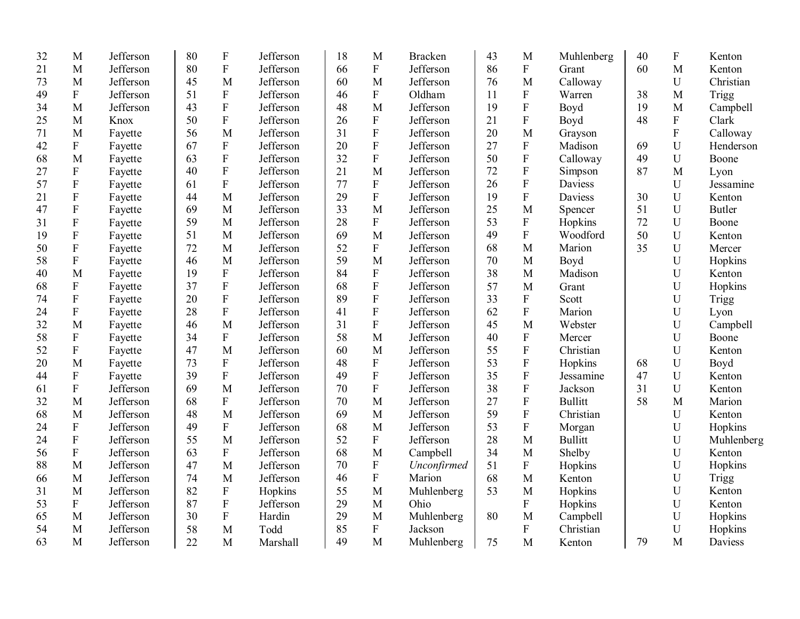| 32 | M                         | Jefferson | 80 | $\boldsymbol{\mathrm{F}}$ | Jefferson | 18 | M                         | <b>Bracken</b> | 43 | M                         | Muhlenberg     | 40 | ${\bf F}$   | Kenton        |
|----|---------------------------|-----------|----|---------------------------|-----------|----|---------------------------|----------------|----|---------------------------|----------------|----|-------------|---------------|
| 21 | M                         | Jefferson | 80 | ${\bf F}$                 | Jefferson | 66 | $\overline{F}$            | Jefferson      | 86 | $\boldsymbol{\mathrm{F}}$ | Grant          | 60 | M           | Kenton        |
| 73 | M                         | Jefferson | 45 | M                         | Jefferson | 60 | M                         | Jefferson      | 76 | M                         | Calloway       |    | $\mathbf U$ | Christian     |
| 49 | $\boldsymbol{\mathrm{F}}$ | Jefferson | 51 | ${\bf F}$                 | Jefferson | 46 | ${\bf F}$                 | Oldham         | 11 | $\boldsymbol{\mathrm{F}}$ | Warren         | 38 | M           | Trigg         |
| 34 | M                         | Jefferson | 43 | ${\bf F}$                 | Jefferson | 48 | M                         | Jefferson      | 19 | ${\bf F}$                 | Boyd           | 19 | M           | Campbell      |
| 25 | M                         | Knox      | 50 | ${\bf F}$                 | Jefferson | 26 | ${\bf F}$                 | Jefferson      | 21 | ${\bf F}$                 | Boyd           | 48 | ${\bf F}$   | Clark         |
| 71 | M                         | Fayette   | 56 | M                         | Jefferson | 31 | ${\bf F}$                 | Jefferson      | 20 | M                         | Grayson        |    | $\mathbf F$ | Calloway      |
| 42 | ${\bf F}$                 | Fayette   | 67 | ${\bf F}$                 | Jefferson | 20 | $\mathbf F$               | Jefferson      | 27 | ${\bf F}$                 | Madison        | 69 | $\mathbf U$ | Henderson     |
| 68 | M                         | Fayette   | 63 | ${\bf F}$                 | Jefferson | 32 | $\overline{F}$            | Jefferson      | 50 | $\overline{F}$            | Calloway       | 49 | $\mathbf U$ | Boone         |
| 27 | ${\bf F}$                 | Fayette   | 40 | ${\bf F}$                 | Jefferson | 21 | M                         | Jefferson      | 72 | $\overline{F}$            | Simpson        | 87 | M           | Lyon          |
| 57 | $\rm F$                   | Fayette   | 61 | ${\bf F}$                 | Jefferson | 77 | ${\bf F}$                 | Jefferson      | 26 | $\rm F$                   | Daviess        |    | U           | Jessamine     |
| 21 | ${\bf F}$                 | Fayette   | 44 | M                         | Jefferson | 29 | $\mathbf F$               | Jefferson      | 19 | $\rm F$                   | Daviess        | 30 | $\mathbf U$ | Kenton        |
| 47 | ${\bf F}$                 | Fayette   | 69 | M                         | Jefferson | 33 | M                         | Jefferson      | 25 | M                         | Spencer        | 51 | U           | <b>Butler</b> |
| 31 | ${\bf F}$                 | Fayette   | 59 | M                         | Jefferson | 28 | ${\bf F}$                 | Jefferson      | 53 | ${\bf F}$                 | Hopkins        | 72 | $\mathbf U$ | Boone         |
| 19 | ${\bf F}$                 | Fayette   | 51 | M                         | Jefferson | 69 | M                         | Jefferson      | 49 | $\rm F$                   | Woodford       | 50 | U           | Kenton        |
| 50 | ${\bf F}$                 | Fayette   | 72 | M                         | Jefferson | 52 | ${\bf F}$                 | Jefferson      | 68 | M                         | Marion         | 35 | U           | Mercer        |
| 58 | $\mathbf F$               | Fayette   | 46 | M                         | Jefferson | 59 | M                         | Jefferson      | 70 | M                         | Boyd           |    | $\mathbf U$ | Hopkins       |
| 40 | M                         | Fayette   | 19 | ${\bf F}$                 | Jefferson | 84 | F                         | Jefferson      | 38 | M                         | Madison        |    | $\mathbf U$ | Kenton        |
| 68 | ${\bf F}$                 | Fayette   | 37 | $\rm F$                   | Jefferson | 68 | $\boldsymbol{\mathrm{F}}$ | Jefferson      | 57 | M                         | Grant          |    | U           | Hopkins       |
| 74 | ${\bf F}$                 | Fayette   | 20 | $\rm F$                   | Jefferson | 89 | ${\bf F}$                 | Jefferson      | 33 | ${\bf F}$                 | Scott          |    | U           | Trigg         |
| 24 | ${\bf F}$                 | Fayette   | 28 | $\rm F$                   | Jefferson | 41 | ${\bf F}$                 | Jefferson      | 62 | ${\bf F}$                 | Marion         |    | U           | Lyon          |
| 32 | M                         | Fayette   | 46 | M                         | Jefferson | 31 | ${\bf F}$                 | Jefferson      | 45 | $\mathbf{M}$              | Webster        |    | U           | Campbell      |
| 58 | ${\bf F}$                 | Fayette   | 34 | $\mathbf F$               | Jefferson | 58 | M                         | Jefferson      | 40 | ${\bf F}$                 | Mercer         |    | U           | Boone         |
| 52 | ${\bf F}$                 | Fayette   | 47 | M                         | Jefferson | 60 | M                         | Jefferson      | 55 | ${\bf F}$                 | Christian      |    | $\mathbf U$ | Kenton        |
| 20 | M                         | Fayette   | 73 | ${\bf F}$                 | Jefferson | 48 | ${\bf F}$                 | Jefferson      | 53 | $\boldsymbol{\mathrm{F}}$ | Hopkins        | 68 | $\mathbf U$ | Boyd          |
| 44 | ${\bf F}$                 | Fayette   | 39 | $\rm F$                   | Jefferson | 49 | ${\bf F}$                 | Jefferson      | 35 | $\boldsymbol{\mathrm{F}}$ | Jessamine      | 47 | $\mathbf U$ | Kenton        |
| 61 | ${\bf F}$                 | Jefferson | 69 | M                         | Jefferson | 70 | ${\bf F}$                 | Jefferson      | 38 | ${\bf F}$                 | Jackson        | 31 | U           | Kenton        |
| 32 | M                         | Jefferson | 68 | ${\bf F}$                 | Jefferson | 70 | M                         | Jefferson      | 27 | ${\bf F}$                 | <b>Bullitt</b> | 58 | M           | Marion        |
| 68 | M                         | Jefferson | 48 | M                         | Jefferson | 69 | M                         | Jefferson      | 59 | ${\bf F}$                 | Christian      |    | U           | Kenton        |
| 24 | ${\bf F}$                 | Jefferson | 49 | ${\bf F}$                 | Jefferson | 68 | M                         | Jefferson      | 53 | $\mathbf{F}$              | Morgan         |    | $\mathbf U$ | Hopkins       |
| 24 | $\mathbf F$               | Jefferson | 55 | M                         | Jefferson | 52 | $\overline{F}$            | Jefferson      | 28 | M                         | <b>Bullitt</b> |    | U           | Muhlenberg    |
| 56 | $\overline{F}$            | Jefferson | 63 | ${\bf F}$                 | Jefferson | 68 | M                         | Campbell       | 34 | M                         | Shelby         |    | $\mathbf U$ | Kenton        |
| 88 | M                         | Jefferson | 47 | M                         | Jefferson | 70 | ${\bf F}$                 | Unconfirmed    | 51 | ${\bf F}$                 | Hopkins        |    | $\mathbf U$ | Hopkins       |
| 66 | M                         | Jefferson | 74 | M                         | Jefferson | 46 | ${\bf F}$                 | Marion         | 68 | M                         | Kenton         |    | $\mathbf U$ | Trigg         |
| 31 | M                         | Jefferson | 82 | ${\bf F}$                 | Hopkins   | 55 | M                         | Muhlenberg     | 53 | M                         | Hopkins        |    | $\mathbf U$ | Kenton        |
| 53 | $\boldsymbol{\mathrm{F}}$ | Jefferson | 87 | ${\bf F}$                 | Jefferson | 29 | M                         | Ohio           |    | ${\bf F}$                 | Hopkins        |    | $\mathbf U$ | Kenton        |
| 65 | M                         | Jefferson | 30 | ${\bf F}$                 | Hardin    | 29 | M                         | Muhlenberg     | 80 | M                         | Campbell       |    | $\mathbf U$ | Hopkins       |
| 54 | M                         | Jefferson | 58 | M                         | Todd      | 85 | ${\bf F}$                 | Jackson        |    | $\boldsymbol{\mathrm{F}}$ | Christian      |    | $\mathbf U$ | Hopkins       |
| 63 | M                         | Jefferson | 22 | M                         | Marshall  | 49 | M                         | Muhlenberg     | 75 | M                         | Kenton         | 79 | M           | Daviess       |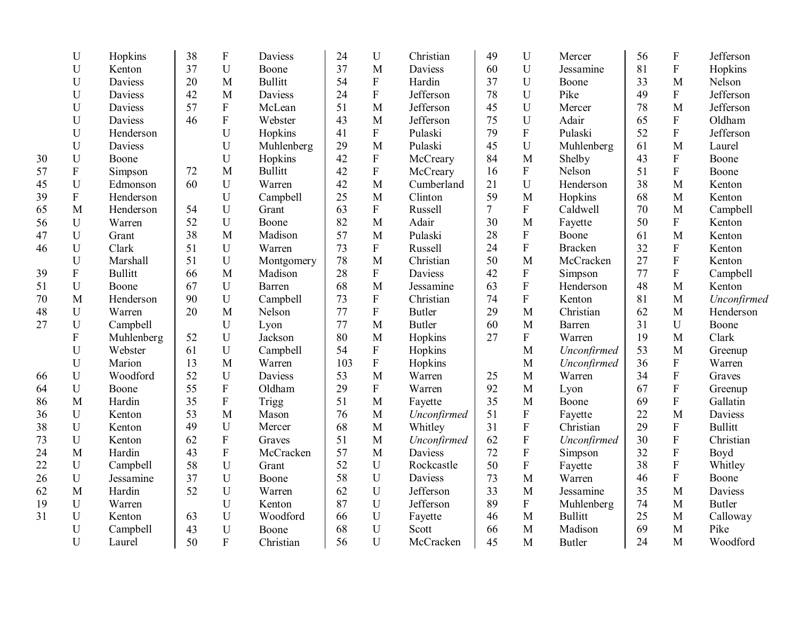|    | $\mathbf U$               | Hopkins        | 38 | ${\bf F}$      | Daviess        | 24  | $\mathbf U$ | Christian      | 49     | U                         | Mercer         | 56 | ${\bf F}$      | Jefferson      |
|----|---------------------------|----------------|----|----------------|----------------|-----|-------------|----------------|--------|---------------------------|----------------|----|----------------|----------------|
|    | U                         | Kenton         | 37 | $\mathbf U$    | Boone          | 37  | M           | Daviess        | 60     | U                         | Jessamine      | 81 | ${\bf F}$      | Hopkins        |
|    | U                         | Daviess        | 20 | M              | <b>Bullitt</b> | 54  | ${\bf F}$   | Hardin         | 37     | $\overline{U}$            | Boone          | 33 | M              | Nelson         |
|    | U                         | Daviess        | 42 | M              | Daviess        | 24  | ${\bf F}$   | Jefferson      | 78     | U                         | Pike           | 49 | $\mathbf F$    | Jefferson      |
|    | U                         | Daviess        | 57 | ${\bf F}$      | McLean         | 51  | M           | Jefferson      | 45     | U                         | Mercer         | 78 | M              | Jefferson      |
|    | $\mathbf U$               | Daviess        | 46 | ${\bf F}$      | Webster        | 43  | M           | Jefferson      | 75     | U                         | Adair          | 65 | ${\bf F}$      | Oldham         |
|    | U                         | Henderson      |    | U              | Hopkins        | 41  | ${\bf F}$   | Pulaski        | 79     | $\mathbf F$               | Pulaski        | 52 | $\overline{F}$ | Jefferson      |
|    | $\mathbf U$               | Daviess        |    | $\mathbf U$    | Muhlenberg     | 29  | M           | Pulaski        | 45     | ${\bf U}$                 | Muhlenberg     | 61 | M              | Laurel         |
| 30 | $\mathbf U$               | Boone          |    | U              | Hopkins        | 42  | ${\bf F}$   | McCreary       | 84     | M                         | Shelby         | 43 | ${\bf F}$      | Boone          |
| 57 | ${\bf F}$                 | Simpson        | 72 | M              | <b>Bullitt</b> | 42  | ${\bf F}$   | McCreary       | 16     | $\mathbf F$               | Nelson         | 51 | $\overline{F}$ | Boone          |
| 45 | U                         | Edmonson       | 60 | U              | Warren         | 42  | M           | Cumberland     | 21     | U                         | Henderson      | 38 | M              | Kenton         |
| 39 | $\mathbf F$               | Henderson      |    | U              | Campbell       | 25  | M           | Clinton        | 59     | M                         | Hopkins        | 68 | M              | Kenton         |
| 65 | M                         | Henderson      | 54 | $\mathbf U$    | Grant          | 63  | ${\bf F}$   | Russell        | $\tau$ | $\mathbf F$               | Caldwell       | 70 | M              | Campbell       |
| 56 | ${\bf U}$                 | Warren         | 52 | $\mathbf U$    | Boone          | 82  | M           | Adair          | 30     | M                         | Fayette        | 50 | ${\bf F}$      | Kenton         |
| 47 | U                         | Grant          | 38 | M              | Madison        | 57  | M           | Pulaski        | 28     | ${\bf F}$                 | Boone          | 61 | M              | Kenton         |
| 46 | $\mathbf U$               | Clark          | 51 | U              | Warren         | 73  | ${\bf F}$   | Russell        | 24     | $\rm F$                   | <b>Bracken</b> | 32 | $\mathbf F$    | Kenton         |
|    | U                         | Marshall       | 51 | U              | Montgomery     | 78  | M           | Christian      | 50     | M                         | McCracken      | 27 | $\overline{F}$ | Kenton         |
| 39 | $\mathbf F$               | <b>Bullitt</b> | 66 | M              | Madison        | 28  | $\mathbf F$ | <b>Daviess</b> | 42     | $\boldsymbol{\mathrm{F}}$ | Simpson        | 77 | $\overline{F}$ | Campbell       |
| 51 | $\mathbf U$               | Boone          | 67 | U              | Barren         | 68  | M           | Jessamine      | 63     | $\mathbf F$               | Henderson      | 48 | M              | Kenton         |
| 70 | M                         | Henderson      | 90 | U              | Campbell       | 73  | ${\bf F}$   | Christian      | 74     | $\rm F$                   | Kenton         | 81 | M              | Unconfirmed    |
| 48 | $\mathbf U$               | Warren         | 20 | M              | Nelson         | 77  | ${\bf F}$   | <b>Butler</b>  | 29     | M                         | Christian      | 62 | M              | Henderson      |
| 27 | $\mathbf U$               | Campbell       |    | U              | Lyon           | 77  | M           | <b>Butler</b>  | 60     | M                         | Barren         | 31 | U              | Boone          |
|    | $\boldsymbol{\mathrm{F}}$ | Muhlenberg     | 52 | U              | Jackson        | 80  | M           | Hopkins        | 27     | $\mathbf F$               | Warren         | 19 | M              | Clark          |
|    | $\mathbf U$               | Webster        | 61 | $\mathbf U$    | Campbell       | 54  | $\mathbf F$ | Hopkins        |        | M                         | Unconfirmed    | 53 | M              | Greenup        |
|    | U                         | Marion         | 13 | M              | Warren         | 103 | $\mathbf F$ | Hopkins        |        | $\mathbf{M}$              | Unconfirmed    | 36 | ${\bf F}$      | Warren         |
| 66 | U                         | Woodford       | 52 | $\mathbf U$    | Daviess        | 53  | M           | Warren         | 25     | M                         | Warren         | 34 | ${\bf F}$      | Graves         |
| 64 | $\mathbf U$               | Boone          | 55 | ${\bf F}$      | Oldham         | 29  | ${\bf F}$   | Warren         | 92     | M                         | Lyon           | 67 | ${\bf F}$      | Greenup        |
| 86 | M                         | Hardin         | 35 | $\overline{F}$ | Trigg          | 51  | M           | Fayette        | 35     | M                         | Boone          | 69 | $\overline{F}$ | Gallatin       |
| 36 | $\mathbf U$               | Kenton         | 53 | M              | Mason          | 76  | M           | Unconfirmed    | 51     | ${\bf F}$                 | Fayette        | 22 | M              | <b>Daviess</b> |
| 38 | $\mathbf U$               | Kenton         | 49 | U              | Mercer         | 68  | M           | Whitley        | 31     | $\mathbf F$               | Christian      | 29 | ${\bf F}$      | <b>Bullitt</b> |
| 73 | $\mathbf U$               | Kenton         | 62 | ${\bf F}$      | Graves         | 51  | M           | Unconfirmed    | 62     | $\overline{\mathrm{F}}$   | Unconfirmed    | 30 | $\rm F$        | Christian      |
| 24 | M                         | Hardin         | 43 | ${\bf F}$      | McCracken      | 57  | M           | Daviess        | 72     | $\mathbf F$               | Simpson        | 32 | ${\bf F}$      | Boyd           |
| 22 | $\mathbf U$               | Campbell       | 58 | $\mathbf U$    | Grant          | 52  | $\mathbf U$ | Rockcastle     | 50     | $\mathbf F$               | Fayette        | 38 | ${\bf F}$      | Whitley        |
| 26 | $\mathbf U$               | Jessamine      | 37 | U              | Boone          | 58  | $\mathbf U$ | Daviess        | 73     | $\mathbf{M}$              | Warren         | 46 | ${\bf F}$      | Boone          |
| 62 | $\mathbf{M}$              | Hardin         | 52 | $\mathbf U$    | Warren         | 62  | $\mathbf U$ | Jefferson      | 33     | M                         | Jessamine      | 35 | M              | Daviess        |
| 19 | U                         | Warren         |    | $\mathbf U$    | Kenton         | 87  | U           | Jefferson      | 89     | $\boldsymbol{\mathrm{F}}$ | Muhlenberg     | 74 | M              | <b>Butler</b>  |
| 31 | U                         | Kenton         | 63 | U              | Woodford       | 66  | $\mathbf U$ | Fayette        | 46     | M                         | <b>Bullitt</b> | 25 | M              | Calloway       |
|    | U                         | Campbell       | 43 | U              | Boone          | 68  | U           | Scott          | 66     | M                         | Madison        | 69 | M              | Pike           |
|    | U                         | Laurel         | 50 | $\overline{F}$ | Christian      | 56  | U           | McCracken      | 45     | M                         | <b>Butler</b>  | 24 | M              | Woodford       |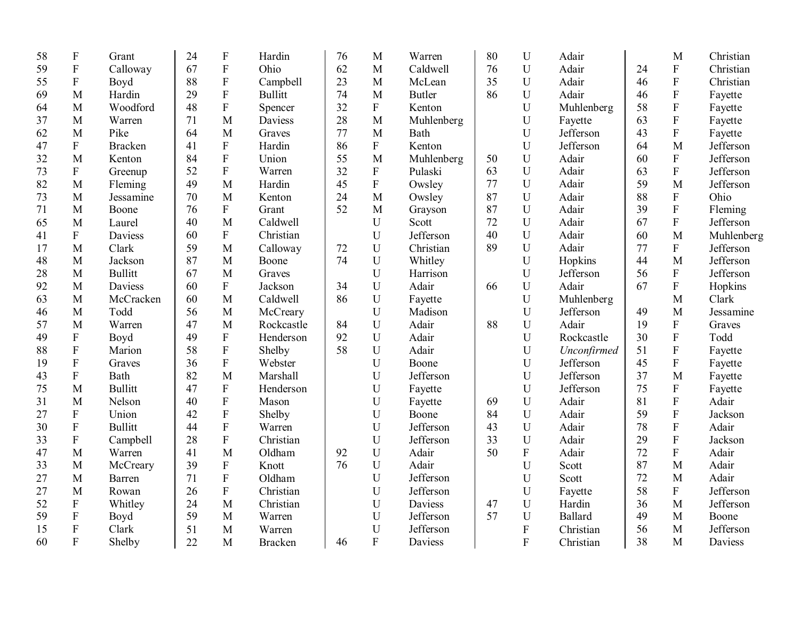| 58 | ${\bf F}$                 | Grant          | 24 | ${\bf F}$                 | Hardin         | 76 | M                         | Warren        | 80 | $\mathbf U$ | Adair          |    | M                         | Christian  |
|----|---------------------------|----------------|----|---------------------------|----------------|----|---------------------------|---------------|----|-------------|----------------|----|---------------------------|------------|
| 59 | ${\bf F}$                 | Calloway       | 67 | ${\bf F}$                 | Ohio           | 62 | M                         | Caldwell      | 76 | U           | Adair          | 24 | ${\bf F}$                 | Christian  |
| 55 | ${\bf F}$                 | Boyd           | 88 | ${\bf F}$                 | Campbell       | 23 | $\mathbf{M}$              | McLean        | 35 | U           | Adair          | 46 | ${\bf F}$                 | Christian  |
| 69 | M                         | Hardin         | 29 | ${\bf F}$                 | <b>Bullitt</b> | 74 | M                         | <b>Butler</b> | 86 | $\mathbf U$ | Adair          | 46 | ${\bf F}$                 | Fayette    |
| 64 | M                         | Woodford       | 48 | ${\bf F}$                 | Spencer        | 32 | $\boldsymbol{\mathrm{F}}$ | Kenton        |    | U           | Muhlenberg     | 58 | ${\bf F}$                 | Fayette    |
| 37 | M                         | Warren         | 71 | M                         | Daviess        | 28 | M                         | Muhlenberg    |    | U           | Fayette        | 63 | ${\bf F}$                 | Fayette    |
| 62 | M                         | Pike           | 64 | M                         | Graves         | 77 | M                         | Bath          |    | U           | Jefferson      | 43 | $\overline{F}$            | Fayette    |
| 47 | ${\bf F}$                 | <b>Bracken</b> | 41 | ${\bf F}$                 | Hardin         | 86 | $\mathbf F$               | Kenton        |    | U           | Jefferson      | 64 | M                         | Jefferson  |
| 32 | M                         | Kenton         | 84 | ${\bf F}$                 | Union          | 55 | M                         | Muhlenberg    | 50 | U           | Adair          | 60 | $\overline{F}$            | Jefferson  |
| 73 | ${\bf F}$                 | Greenup        | 52 | ${\bf F}$                 | Warren         | 32 | ${\bf F}$                 | Pulaski       | 63 | $\mathbf U$ | Adair          | 63 | ${\bf F}$                 | Jefferson  |
| 82 | M                         | Fleming        | 49 | M                         | Hardin         | 45 | $\mathbf F$               | Owsley        | 77 | $\mathbf U$ | Adair          | 59 | M                         | Jefferson  |
| 73 | M                         | Jessamine      | 70 | M                         | Kenton         | 24 | $\mathbf{M}$              | Owsley        | 87 | U           | Adair          | 88 | ${\bf F}$                 | Ohio       |
| 71 | M                         | Boone          | 76 | $\mathbf F$               | Grant          | 52 | M                         | Grayson       | 87 | U           | Adair          | 39 | ${\bf F}$                 | Fleming    |
| 65 | M                         | Laurel         | 40 | M                         | Caldwell       |    | U                         | Scott         | 72 | $\mathbf U$ | Adair          | 67 | ${\bf F}$                 | Jefferson  |
| 41 | $\boldsymbol{\mathrm{F}}$ | Daviess        | 60 | ${\bf F}$                 | Christian      |    | U                         | Jefferson     | 40 | U           | Adair          | 60 | M                         | Muhlenberg |
| 17 | M                         | Clark          | 59 | M                         | Calloway       | 72 | U                         | Christian     | 89 | U           | Adair          | 77 | ${\bf F}$                 | Jefferson  |
| 48 | M                         | Jackson        | 87 | M                         | Boone          | 74 | U                         | Whitley       |    | U           | Hopkins        | 44 | M                         | Jefferson  |
| 28 | M                         | <b>Bullitt</b> | 67 | M                         | Graves         |    | U                         | Harrison      |    | U           | Jefferson      | 56 | ${\bf F}$                 | Jefferson  |
| 92 | M                         | Daviess        | 60 | $\boldsymbol{\mathrm{F}}$ | Jackson        | 34 | U                         | Adair         | 66 | U           | Adair          | 67 | $\overline{\mathrm{F}}$   | Hopkins    |
| 63 | M                         | McCracken      | 60 | M                         | Caldwell       | 86 | U                         | Fayette       |    | U           | Muhlenberg     |    | M                         | Clark      |
| 46 | M                         | Todd           | 56 | M                         | McCreary       |    | U                         | Madison       |    | U           | Jefferson      | 49 | M                         | Jessamine  |
| 57 | M                         | Warren         | 47 | M                         | Rockcastle     | 84 | U                         | Adair         | 88 | U           | Adair          | 19 | ${\bf F}$                 | Graves     |
| 49 | ${\bf F}$                 | Boyd           | 49 | $\boldsymbol{\mathrm{F}}$ | Henderson      | 92 | U                         | Adair         |    | $\mathbf U$ | Rockcastle     | 30 | $\overline{F}$            | Todd       |
| 88 | $\boldsymbol{\mathrm{F}}$ | Marion         | 58 | ${\bf F}$                 | Shelby         | 58 | U                         | Adair         |    | U           | Unconfirmed    | 51 | $\boldsymbol{\mathrm{F}}$ | Fayette    |
| 19 | $\boldsymbol{\mathrm{F}}$ | Graves         | 36 | ${\bf F}$                 | Webster        |    | U                         | Boone         |    | U           | Jefferson      | 45 | $\boldsymbol{\mathrm{F}}$ | Fayette    |
| 43 | $\boldsymbol{\mathrm{F}}$ | Bath           | 82 | M                         | Marshall       |    | U                         | Jefferson     |    | U           | Jefferson      | 37 | M                         | Fayette    |
| 75 | M                         | <b>Bullitt</b> | 47 | $\mathbf F$               | Henderson      |    | U                         | Fayette       |    | $\mathbf U$ | Jefferson      | 75 | ${\bf F}$                 | Fayette    |
| 31 | M                         | Nelson         | 40 | ${\bf F}$                 | Mason          |    | U                         | Fayette       | 69 | U           | Adair          | 81 | $\overline{F}$            | Adair      |
| 27 | ${\bf F}$                 | Union          | 42 | $\rm F$                   | Shelby         |    | U                         | Boone         | 84 | U           | Adair          | 59 | $\rm F$                   | Jackson    |
| 30 | ${\bf F}$                 | <b>Bullitt</b> | 44 | $\rm F$                   | Warren         |    | U                         | Jefferson     | 43 | $\mathbf U$ | Adair          | 78 | $\rm F$                   | Adair      |
| 33 | ${\bf F}$                 | Campbell       | 28 | $\rm F$                   | Christian      |    | $\mathbf U$               | Jefferson     | 33 | $\mathbf U$ | Adair          | 29 | $\mathbf F$               | Jackson    |
| 47 | M                         | Warren         | 41 | M                         | Oldham         | 92 | U                         | Adair         | 50 | ${\bf F}$   | Adair          | 72 | ${\bf F}$                 | Adair      |
| 33 | M                         | McCreary       | 39 | ${\bf F}$                 | Knott          | 76 | U                         | Adair         |    | $\mathbf U$ | Scott          | 87 | M                         | Adair      |
| 27 | M                         | Barren         | 71 | $\rm F$                   | Oldham         |    | U                         | Jefferson     |    | U           | Scott          | 72 | M                         | Adair      |
| 27 | M                         | Rowan          | 26 | $\boldsymbol{\mathrm{F}}$ | Christian      |    | U                         | Jefferson     |    | U           | Fayette        | 58 | $\mathbf F$               | Jefferson  |
| 52 | ${\bf F}$                 | Whitley        | 24 | M                         | Christian      |    | U                         | Daviess       | 47 | U           | Hardin         | 36 | M                         | Jefferson  |
| 59 | ${\bf F}$                 | Boyd           | 59 | M                         | Warren         |    | U                         | Jefferson     | 57 | $\mathbf U$ | <b>Ballard</b> | 49 | M                         | Boone      |
| 15 | ${\bf F}$                 | Clark          | 51 | M                         | Warren         |    | U                         | Jefferson     |    | ${\bf F}$   | Christian      | 56 | M                         | Jefferson  |
| 60 | $\boldsymbol{\mathrm{F}}$ | Shelby         | 22 | M                         | <b>Bracken</b> | 46 | $\overline{F}$            | Daviess       |    | ${\bf F}$   | Christian      | 38 | M                         | Daviess    |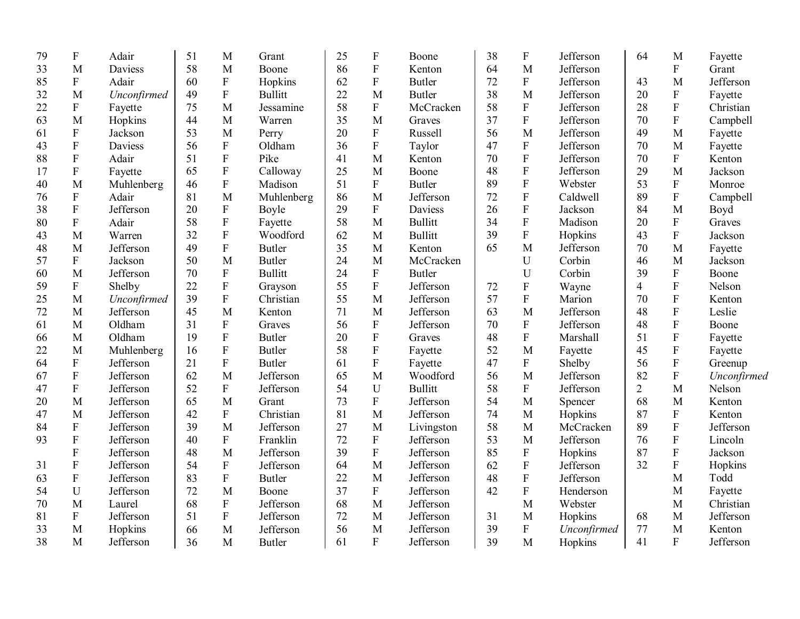| 58<br>M<br>86<br>${\bf F}$<br>M<br>Jefferson<br>${\bf F}$<br>33<br>M<br>64<br>Daviess<br>Boone<br>Kenton<br>${\bf F}$<br>62<br>${\bf F}$<br>$\mathbf{F}$<br>85<br>$\mathbf{F}$<br>Adair<br>60<br><b>Butler</b><br>72<br>Jefferson<br>M<br>Hopkins<br>43<br>$\boldsymbol{\mathrm{F}}$<br>38<br>M<br>Jefferson<br>${\bf F}$<br>49<br><b>Bullitt</b><br>22<br>M<br><b>Butler</b><br>20<br>32<br>M<br>Unconfirmed<br>75<br>58<br>58<br>$\boldsymbol{\mathrm{F}}$<br>${\bf F}$<br>${\bf F}$<br>$\boldsymbol{\mathrm{F}}$<br>Jefferson<br>28<br>22<br>Fayette<br>M<br>Jessamine<br>McCracken | Grant<br>Jefferson<br>Fayette<br>Christian<br>Campbell<br>Fayette<br>Fayette<br>Kenton |
|----------------------------------------------------------------------------------------------------------------------------------------------------------------------------------------------------------------------------------------------------------------------------------------------------------------------------------------------------------------------------------------------------------------------------------------------------------------------------------------------------------------------------------------------------------------------------------------|----------------------------------------------------------------------------------------|
|                                                                                                                                                                                                                                                                                                                                                                                                                                                                                                                                                                                        |                                                                                        |
|                                                                                                                                                                                                                                                                                                                                                                                                                                                                                                                                                                                        |                                                                                        |
|                                                                                                                                                                                                                                                                                                                                                                                                                                                                                                                                                                                        |                                                                                        |
|                                                                                                                                                                                                                                                                                                                                                                                                                                                                                                                                                                                        |                                                                                        |
| ${\bf F}$<br>35<br>${\bf F}$<br>M<br>Hopkins<br>44<br>M<br>37<br>Jefferson<br>70<br>63<br>Warren<br>M<br>Graves                                                                                                                                                                                                                                                                                                                                                                                                                                                                        |                                                                                        |
| 20<br>${\bf F}$<br>M<br>$\boldsymbol{\mathrm{F}}$<br>53<br>M<br>56<br>Jefferson<br>49<br>M<br>Jackson<br>Russell<br>61<br>Perry                                                                                                                                                                                                                                                                                                                                                                                                                                                        |                                                                                        |
| $\mathbf F$<br>${\bf F}$<br>${\bf F}$<br>47<br>56<br>36<br>${\bf F}$<br>Jefferson<br>Daviess<br>Oldham<br>Taylor<br>70<br>M<br>43                                                                                                                                                                                                                                                                                                                                                                                                                                                      |                                                                                        |
| $\overline{F}$<br>${\bf F}$<br>$\mathbf{F}$<br>51<br>70<br>Jefferson<br>Pike<br>41<br>M<br>70<br>${\bf F}$<br>88<br>Adair<br>Kenton                                                                                                                                                                                                                                                                                                                                                                                                                                                    |                                                                                        |
| $\overline{F}$<br>$\overline{F}$<br>$\boldsymbol{\mathrm{F}}$<br>25<br>48<br>$\mathbf{M}$<br>65<br>Calloway<br>M<br>Jefferson<br>29<br>17<br>Fayette<br>Boone                                                                                                                                                                                                                                                                                                                                                                                                                          | Jackson                                                                                |
| $\boldsymbol{\mathrm{F}}$<br>${\bf F}$<br>M<br>51<br>$\mathbf F$<br>89<br>53<br>${\bf F}$<br>46<br>Madison<br><b>Butler</b><br>Webster<br>40<br>Muhlenberg                                                                                                                                                                                                                                                                                                                                                                                                                             | Monroe                                                                                 |
| ${\bf F}$<br>$\rm F$<br>${\bf F}$<br>M<br>86<br>Jefferson<br>72<br>89<br>76<br>Adair<br>81<br>M<br>Caldwell<br>Muhlenberg                                                                                                                                                                                                                                                                                                                                                                                                                                                              | Campbell                                                                               |
| ${\bf F}$<br>${\bf F}$<br>$\boldsymbol{\mathrm{F}}$<br>29<br>${\bf F}$<br>26<br>84<br>38<br>Jefferson<br>20<br>Daviess<br>Jackson<br>M<br>Boyle                                                                                                                                                                                                                                                                                                                                                                                                                                        | Boyd                                                                                   |
| $\overline{F}$<br>58<br>$\mathbf F$<br>${\bf F}$<br>${\bf F}$<br>58<br><b>Bullitt</b><br>34<br>20<br>80<br>Adair<br>M<br>Madison<br>Fayette                                                                                                                                                                                                                                                                                                                                                                                                                                            | Graves                                                                                 |
| $\rm F$<br>$\mathbf F$<br>$\mathbf{F}$<br>32<br>62<br><b>Bullitt</b><br>39<br>Hopkins<br>43<br>43<br>M<br>Woodford<br>M<br>Warren                                                                                                                                                                                                                                                                                                                                                                                                                                                      | Jackson                                                                                |
| 49<br>${\bf F}$<br>35<br>Jefferson<br>65<br>M<br>Jefferson<br>48<br>M<br><b>Butler</b><br>M<br>Kenton<br>70<br>M                                                                                                                                                                                                                                                                                                                                                                                                                                                                       | Fayette                                                                                |
| ${\bf F}$<br>50<br>24<br>$\mathbf U$<br>Corbin<br>57<br>Jackson<br>M<br><b>Butler</b><br>M<br>McCracken<br>46<br>M                                                                                                                                                                                                                                                                                                                                                                                                                                                                     | Jackson                                                                                |
| 24<br>Jefferson<br>70<br>$\mathbf{F}$<br><b>Bullitt</b><br>$\boldsymbol{\mathrm{F}}$<br>U<br>Corbin<br>39<br>$\mathbf{F}$<br>M<br><b>Butler</b><br>60                                                                                                                                                                                                                                                                                                                                                                                                                                  | Boone                                                                                  |
| $\boldsymbol{\mathrm{F}}$<br>$\rm F$<br>55<br>$\mathbf F$<br>${\bf F}$<br>59<br>$\boldsymbol{\mathrm{F}}$<br>Shelby<br>22<br>Jefferson<br>$\overline{4}$<br>72<br>Wayne<br>Grayson                                                                                                                                                                                                                                                                                                                                                                                                     | Nelson                                                                                 |
| $\overline{F}$<br>$\mathbf F$<br>39<br>55<br>57<br>${\bf F}$<br>25<br>M<br>Christian<br>M<br>Jefferson<br>Marion<br>70<br>Unconfirmed                                                                                                                                                                                                                                                                                                                                                                                                                                                  | Kenton                                                                                 |
| M<br>${\bf F}$<br>M<br>71<br>Jefferson<br>63<br>M<br>Jefferson<br>72<br>Jefferson<br>45<br>M<br>48<br>Kenton                                                                                                                                                                                                                                                                                                                                                                                                                                                                           | Leslie                                                                                 |
| ${\bf F}$<br>${\bf F}$<br>$\boldsymbol{\mathrm{F}}$<br>M<br>56<br>${\bf F}$<br>Jefferson<br>70<br>Jefferson<br>48<br>Oldham<br>31<br>61<br>Graves                                                                                                                                                                                                                                                                                                                                                                                                                                      | Boone                                                                                  |
| ${\bf F}$<br>$\boldsymbol{\mathrm{F}}$<br>${\bf F}$<br>48<br>19<br>20<br>${\bf F}$<br>M<br>Oldham<br><b>Butler</b><br>Marshall<br>51<br>66<br>Graves                                                                                                                                                                                                                                                                                                                                                                                                                                   | Fayette                                                                                |
| $\rm F$<br>58<br>${\bf F}$<br>$\mathbf{M}$<br>$\boldsymbol{\mathrm{F}}$<br>22<br>M<br>52<br>45<br>Muhlenberg<br>16<br><b>Butler</b><br>Fayette<br>Fayette                                                                                                                                                                                                                                                                                                                                                                                                                              | Fayette                                                                                |
| $\boldsymbol{\mathrm{F}}$<br>${\bf F}$<br>61<br>${\bf F}$<br>47<br>$\boldsymbol{\mathrm{F}}$<br>${\bf F}$<br>Jefferson<br>21<br>64<br><b>Butler</b><br>Fayette<br>Shelby<br>56                                                                                                                                                                                                                                                                                                                                                                                                         | Greenup                                                                                |
| $\boldsymbol{\mathrm{F}}$<br>62<br>65<br>M<br>Jefferson<br>82<br>${\bf F}$<br>Jefferson<br>M<br>Jefferson<br>M<br>56<br>67<br>Woodford                                                                                                                                                                                                                                                                                                                                                                                                                                                 | Unconfirmed                                                                            |
| ${\bf F}$<br>52<br>${\bf F}$<br>54<br>58<br>$\boldsymbol{\mathrm{F}}$<br>$\overline{2}$<br>Jefferson<br>Jefferson<br>$\mathbf U$<br><b>Bullitt</b><br>Jefferson<br>M<br>47                                                                                                                                                                                                                                                                                                                                                                                                             | Nelson                                                                                 |
| Jefferson<br>73<br>${\bf F}$<br>Jefferson<br>54<br>65<br>M<br>M<br>68<br>M<br>20<br>M<br>Grant<br>Spencer                                                                                                                                                                                                                                                                                                                                                                                                                                                                              | Kenton                                                                                 |
| Jefferson<br>${\bf F}$<br>81<br>Jefferson<br>74<br>87<br>${\bf F}$<br>M<br>42<br>Christian<br>M<br>M<br>Hopkins<br>47                                                                                                                                                                                                                                                                                                                                                                                                                                                                  | Kenton                                                                                 |
| $\mathbf F$<br>${\bf F}$<br>27<br>84<br>Jefferson<br>39<br>M<br>Jefferson<br>M<br>58<br>M<br>89<br>Livingston<br>McCracken                                                                                                                                                                                                                                                                                                                                                                                                                                                             | Jefferson                                                                              |
| ${\bf F}$<br>$\mathbf{F}$<br>Jefferson<br>${\bf F}$<br>72<br>${\bf F}$<br>Jefferson<br>53<br>M<br>Jefferson<br>76<br>93<br>40<br>Franklin                                                                                                                                                                                                                                                                                                                                                                                                                                              | Lincoln                                                                                |
| F<br>39<br>$\overline{F}$<br>${\bf F}$<br>$\mathbf{F}$<br>Jefferson<br>48<br>M<br>Jefferson<br>Jefferson<br>85<br>Hopkins<br>87                                                                                                                                                                                                                                                                                                                                                                                                                                                        | Jackson                                                                                |
| $\rm F$<br>$\rm F$<br>32<br>${\bf F}$<br>${\bf F}$<br>64<br>M<br>Jefferson<br>62<br>Jefferson<br>54<br>Jefferson<br>Jefferson<br>31                                                                                                                                                                                                                                                                                                                                                                                                                                                    | Hopkins                                                                                |
| ${\bf F}$<br>$\rm F$<br>22<br>Jefferson<br>$\rm F$<br>Jefferson<br>83<br>M<br>48<br>M<br>63<br><b>Butler</b><br>Jefferson                                                                                                                                                                                                                                                                                                                                                                                                                                                              | Todd                                                                                   |
| ${\bf F}$<br>U<br>37<br>${\bf F}$<br>Jefferson<br>42<br>Jefferson<br>72<br>Henderson<br>M<br>54<br>M<br>Boone                                                                                                                                                                                                                                                                                                                                                                                                                                                                          | Fayette                                                                                |
| ${\bf F}$<br>68<br>68<br>M<br>M<br>70<br>M<br>Jefferson<br>M<br>Jefferson<br>Webster<br>Laurel                                                                                                                                                                                                                                                                                                                                                                                                                                                                                         | Christian                                                                              |
| ${\bf F}$<br>72<br>Jefferson<br>${\bf F}$<br>Jefferson<br>51<br>Jefferson<br>$\mathbf{M}$<br>68<br>M<br>81<br>31<br>M<br>Hopkins                                                                                                                                                                                                                                                                                                                                                                                                                                                       | Jefferson                                                                              |
| 56<br>${\bf F}$<br>33<br>66<br>M<br>Jefferson<br>M<br>Jefferson<br>39<br>77<br>M<br>M<br>Hopkins<br>Unconfirmed                                                                                                                                                                                                                                                                                                                                                                                                                                                                        | Kenton                                                                                 |
| $\mathbf{F}$<br>$\overline{F}$<br>38<br>61<br>39<br>41<br>M<br>Jefferson<br>36<br>M<br>Jefferson<br>M<br>Hopkins<br>Butler                                                                                                                                                                                                                                                                                                                                                                                                                                                             | Jefferson                                                                              |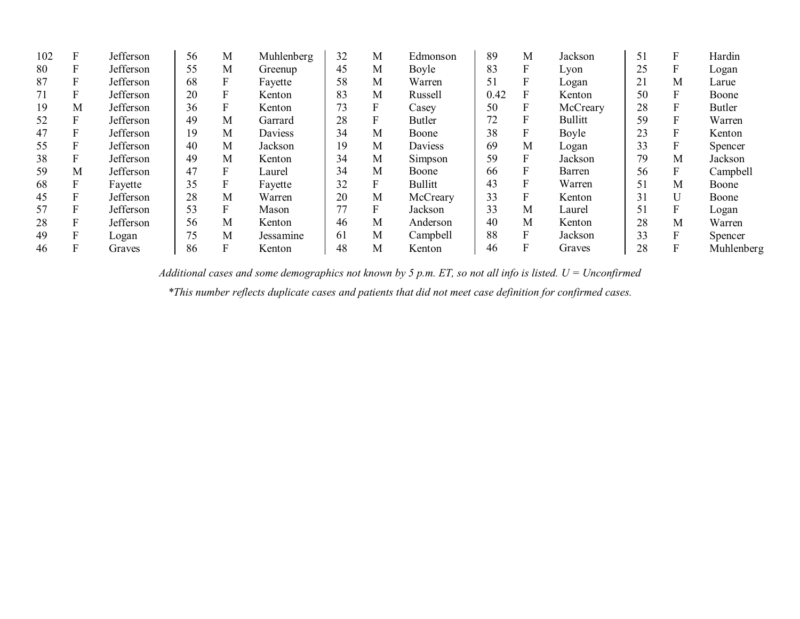| 102 | F | Jefferson | 56 | M | Muhlenberg | 32 | М | Edmonson       | 89   | M                | Jackson        | 51 | F | Hardin        |
|-----|---|-----------|----|---|------------|----|---|----------------|------|------------------|----------------|----|---|---------------|
| 80  | F | Jefferson | 55 | M | Greenup    | 45 | M | Boyle          | 83   | F                | Lyon           | 25 | F | Logan         |
| 87  | F | Jefferson | 68 |   | Fayette    | 58 | M | Warren         | 51   |                  | Logan          | 21 | Μ | Larue         |
| 71  | F | Jefferson | 20 | F | Kenton     | 83 | M | Russell        | 0.42 | F                | Kenton         | 50 | F | Boone         |
| 19  | M | Jefferson | 36 |   | Kenton     | 73 |   | Casey          | 50   | $\boldsymbol{F}$ | McCreary       | 28 | F | <b>Butler</b> |
| 52  | F | Jefferson | 49 | M | Garrard    | 28 |   | Butler         | 72   |                  | <b>Bullitt</b> | 59 | F | Warren        |
| 47  | F | Jefferson | 19 | M | Daviess    | 34 | M | Boone          | 38   | $\mathbf F$      | Boyle          | 23 | F | Kenton        |
| 55  | F | Jefferson | 40 | M | Jackson    | 19 | M | Daviess        | 69   | M                | Logan          | 33 | F | Spencer       |
| 38  | F | Jefferson | 49 | M | Kenton     | 34 | M | Simpson        | 59   | $\boldsymbol{F}$ | Jackson        | 79 | M | Jackson       |
| 59  | M | Jefferson | 47 | F | Laurel     | 34 | Μ | Boone          | 66   | F                | Barren         | 56 | F | Campbell      |
| 68  | F | Fayette   | 35 |   | Fayette    | 32 |   | <b>Bullitt</b> | 43   |                  | Warren         | 51 | M | Boone         |
| 45  | F | Jefferson | 28 | M | Warren     | 20 | Μ | McCreary       | 33   | $\mathbf{F}$     | Kenton         | 31 |   | Boone         |
| 57  | F | Jefferson | 53 | F | Mason      | 77 | F | Jackson        | 33   | M                | Laurel         | 51 | F | Logan         |
| 28  | F | Jefferson | 56 | M | Kenton     | 46 | M | Anderson       | 40   | M                | Kenton         | 28 | M | Warren        |
| 49  | F | Logan     | 75 | M | Jessamine  | 61 | M | Campbell       | 88   | F                | Jackson        | 33 | F | Spencer       |
| 46  | F | Graves    | 86 |   | Kenton     | 48 | Μ | Kenton         | 46   |                  | Graves         | 28 |   | Muhlenberg    |

*Additional cases and some demographics not known by 5 p.m. ET, so not all info is listed. U = Unconfirmed*

*\*This number reflects duplicate cases and patients that did not meet case definition for confirmed cases.*